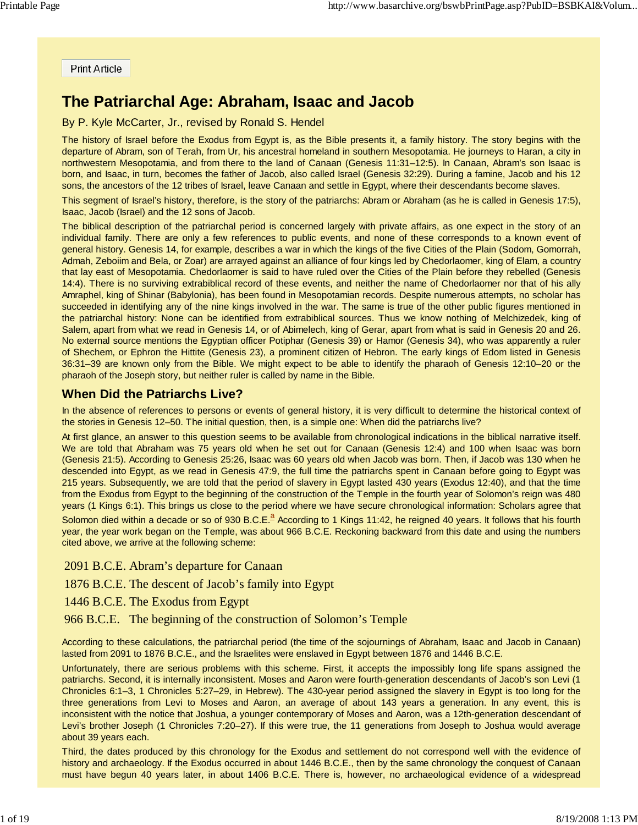**Print Article** 

# **The Patriarchal Age: Abraham, Isaac and Jacob**

By P. Kyle McCarter, Jr., revised by Ronald S. Hendel

The history of Israel before the Exodus from Egypt is, as the Bible presents it, a family history. The story begins with the departure of Abram, son of Terah, from Ur, his ancestral homeland in southern Mesopotamia. He journeys to Haran, a city in northwestern Mesopotamia, and from there to the land of Canaan (Genesis 11:31–12:5). In Canaan, Abram's son Isaac is born, and Isaac, in turn, becomes the father of Jacob, also called Israel (Genesis 32:29). During a famine, Jacob and his 12 sons, the ancestors of the 12 tribes of Israel, leave Canaan and settle in Egypt, where their descendants become slaves.

This segment of Israel's history, therefore, is the story of the patriarchs: Abram or Abraham (as he is called in Genesis 17:5), Isaac, Jacob (Israel) and the 12 sons of Jacob.

The biblical description of the patriarchal period is concerned largely with private affairs, as one expect in the story of an individual family. There are only a few references to public events, and none of these corresponds to a known event of general history. Genesis 14, for example, describes a war in which the kings of the five Cities of the Plain (Sodom, Gomorrah, Admah, Zeboiim and Bela, or Zoar) are arrayed against an alliance of four kings led by Chedorlaomer, king of Elam, a country that lay east of Mesopotamia. Chedorlaomer is said to have ruled over the Cities of the Plain before they rebelled (Genesis 14:4). There is no surviving extrabiblical record of these events, and neither the name of Chedorlaomer nor that of his ally Amraphel, king of Shinar (Babylonia), has been found in Mesopotamian records. Despite numerous attempts, no scholar has succeeded in identifying any of the nine kings involved in the war. The same is true of the other public figures mentioned in the patriarchal history: None can be identified from extrabiblical sources. Thus we know nothing of Melchizedek, king of Salem, apart from what we read in Genesis 14, or of Abimelech, king of Gerar, apart from what is said in Genesis 20 and 26. No external source mentions the Egyptian officer Potiphar (Genesis 39) or Hamor (Genesis 34), who was apparently a ruler of Shechem, or Ephron the Hittite (Genesis 23), a prominent citizen of Hebron. The early kings of Edom listed in Genesis 36:31–39 are known only from the Bible. We might expect to be able to identify the pharaoh of Genesis 12:10–20 or the pharaoh of the Joseph story, but neither ruler is called by name in the Bible.

### **When Did the Patriarchs Live?**

In the absence of references to persons or events of general history, it is very difficult to determine the historical context of the stories in Genesis 12–50. The initial question, then, is a simple one: When did the patriarchs live?

At first glance, an answer to this question seems to be available from chronological indications in the biblical narrative itself. We are told that Abraham was 75 years old when he set out for Canaan (Genesis 12:4) and 100 when Isaac was born (Genesis 21:5). According to Genesis 25:26, Isaac was 60 years old when Jacob was born. Then, if Jacob was 130 when he descended into Egypt, as we read in Genesis 47:9, the full time the patriarchs spent in Canaan before going to Egypt was 215 years. Subsequently, we are told that the period of slavery in Egypt lasted 430 years (Exodus 12:40), and that the time from the Exodus from Egypt to the beginning of the construction of the Temple in the fourth year of Solomon's reign was 480 years (1 Kings 6:1). This brings us close to the period where we have secure chronological information: Scholars agree that

Solomon died within a decade or so of 930 B.C.E.<sup>a</sup> According to 1 Kings 11:42, he reigned 40 years. It follows that his fourth year, the year work began on the Temple, was about 966 B.C.E. Reckoning backward from this date and using the numbers cited above, we arrive at the following scheme:

2091 B.C.E. Abram's departure for Canaan

1876 B.C.E. The descent of Jacob's family into Egypt

1446 B.C.E. The Exodus from Egypt

#### 966 B.C.E. The beginning of the construction of Solomon's Temple

According to these calculations, the patriarchal period (the time of the sojournings of Abraham, Isaac and Jacob in Canaan) lasted from 2091 to 1876 B.C.E., and the Israelites were enslaved in Egypt between 1876 and 1446 B.C.E.

Unfortunately, there are serious problems with this scheme. First, it accepts the impossibly long life spans assigned the patriarchs. Second, it is internally inconsistent. Moses and Aaron were fourth-generation descendants of Jacob's son Levi (1 Chronicles 6:1–3, 1 Chronicles 5:27–29, in Hebrew). The 430-year period assigned the slavery in Egypt is too long for the three generations from Levi to Moses and Aaron, an average of about 143 years a generation. In any event, this is inconsistent with the notice that Joshua, a younger contemporary of Moses and Aaron, was a 12th-generation descendant of Levi's brother Joseph (1 Chronicles 7:20–27). If this were true, the 11 generations from Joseph to Joshua would average about 39 years each.

Third, the dates produced by this chronology for the Exodus and settlement do not correspond well with the evidence of history and archaeology. If the Exodus occurred in about 1446 B.C.E., then by the same chronology the conquest of Canaan must have begun 40 years later, in about 1406 B.C.E. There is, however, no archaeological evidence of a widespread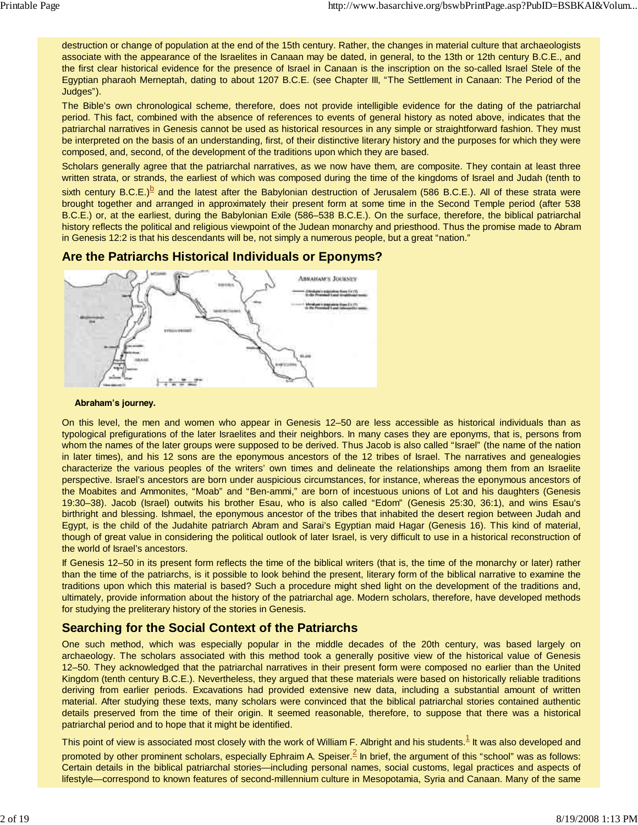destruction or change of population at the end of the 15th century. Rather, the changes in material culture that archaeologists associate with the appearance of the Israelites in Canaan may be dated, in general, to the 13th or 12th century B.C.E., and the first clear historical evidence for the presence of Israel in Canaan is the inscription on the so-called Israel Stele of the Egyptian pharaoh Merneptah, dating to about 1207 B.C.E. (see Chapter III, "The Settlement in Canaan: The Period of the Judges").

The Bible's own chronological scheme, therefore, does not provide intelligible evidence for the dating of the patriarchal period. This fact, combined with the absence of references to events of general history as noted above, indicates that the patriarchal narratives in Genesis cannot be used as historical resources in any simple or straightforward fashion. They must be interpreted on the basis of an understanding, first, of their distinctive literary history and the purposes for which they were composed, and, second, of the development of the traditions upon which they are based.

Scholars generally agree that the patriarchal narratives, as we now have them, are composite. They contain at least three written strata, or strands, the earliest of which was composed during the time of the kingdoms of Israel and Judah (tenth to sixth century B.C.E.)<sup>b</sup> and the latest after the Babylonian destruction of Jerusalem (586 B.C.E.). All of these strata were brought together and arranged in approximately their present form at some time in the Second Temple period (after 538 B.C.E.) or, at the earliest, during the Babylonian Exile (586–538 B.C.E.). On the surface, therefore, the biblical patriarchal history reflects the political and religious viewpoint of the Judean monarchy and priesthood. Thus the promise made to Abram in Genesis 12:2 is that his descendants will be, not simply a numerous people, but a great "nation."

### **Are the Patriarchs Historical Individuals or Eponyms?**



#### **Abraham's journey.**

On this level, the men and women who appear in Genesis 12–50 are less accessible as historical individuals than as typological prefigurations of the later Israelites and their neighbors. In many cases they are eponyms, that is, persons from whom the names of the later groups were supposed to be derived. Thus Jacob is also called "Israel" (the name of the nation in later times), and his 12 sons are the eponymous ancestors of the 12 tribes of Israel. The narratives and genealogies characterize the various peoples of the writers' own times and delineate the relationships among them from an Israelite perspective. Israel's ancestors are born under auspicious circumstances, for instance, whereas the eponymous ancestors of the Moabites and Ammonites, "Moab" and "Ben-ammi," are born of incestuous unions of Lot and his daughters (Genesis 19:30–38). Jacob (Israel) outwits his brother Esau, who is also called "Edom" (Genesis 25:30, 36:1), and wins Esau's birthright and blessing. Ishmael, the eponymous ancestor of the tribes that inhabited the desert region between Judah and Egypt, is the child of the Judahite patriarch Abram and Sarai's Egyptian maid Hagar (Genesis 16). This kind of material, though of great value in considering the political outlook of later Israel, is very difficult to use in a historical reconstruction of the world of Israel's ancestors.

If Genesis 12–50 in its present form reflects the time of the biblical writers (that is, the time of the monarchy or later) rather than the time of the patriarchs, is it possible to look behind the present, literary form of the biblical narrative to examine the traditions upon which this material is based? Such a procedure might shed light on the development of the traditions and, ultimately, provide information about the history of the patriarchal age. Modern scholars, therefore, have developed methods for studying the preliterary history of the stories in Genesis.

## **Searching for the Social Context of the Patriarchs**

One such method, which was especially popular in the middle decades of the 20th century, was based largely on archaeology. The scholars associated with this method took a generally positive view of the historical value of Genesis 12–50. They acknowledged that the patriarchal narratives in their present form were composed no earlier than the United Kingdom (tenth century B.C.E.). Nevertheless, they argued that these materials were based on historically reliable traditions deriving from earlier periods. Excavations had provided extensive new data, including a substantial amount of written material. After studying these texts, many scholars were convinced that the biblical patriarchal stories contained authentic details preserved from the time of their origin. It seemed reasonable, therefore, to suppose that there was a historical patriarchal period and to hope that it might be identified.

This point of view is associated most closely with the work of William F. Albright and his students. $^1$  It was also developed and promoted by other prominent scholars, especially Ephraim A. Speiser. $^2$  In brief, the argument of this "school" was as follows: Certain details in the biblical patriarchal stories—including personal names, social customs, legal practices and aspects of lifestyle—correspond to known features of second-millennium culture in Mesopotamia, Syria and Canaan. Many of the same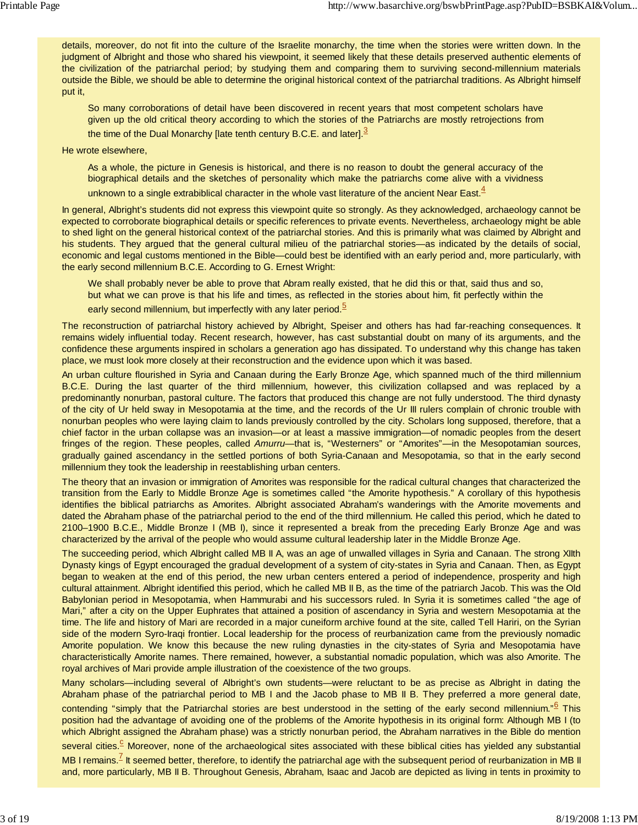details, moreover, do not fit into the culture of the Israelite monarchy, the time when the stories were written down. In the judgment of Albright and those who shared his viewpoint, it seemed likely that these details preserved authentic elements of the civilization of the patriarchal period; by studying them and comparing them to surviving second-millennium materials outside the Bible, we should be able to determine the original historical context of the patriarchal traditions. As Albright himself put it,

So many corroborations of detail have been discovered in recent years that most competent scholars have given up the old critical theory according to which the stories of the Patriarchs are mostly retrojections from the time of the Dual Monarchy [late tenth century B.C.E. and later]. $<sup>3</sup>$ </sup>

He wrote elsewhere,

As a whole, the picture in Genesis is historical, and there is no reason to doubt the general accuracy of the biographical details and the sketches of personality which make the patriarchs come alive with a vividness unknown to a single extrabiblical character in the whole vast literature of the ancient Near East. $4$ 

In general, Albright's students did not express this viewpoint quite so strongly. As they acknowledged, archaeology cannot be expected to corroborate biographical details or specific references to private events. Nevertheless, archaeology might be able to shed light on the general historical context of the patriarchal stories. And this is primarily what was claimed by Albright and his students. They argued that the general cultural milieu of the patriarchal stories—as indicated by the details of social, economic and legal customs mentioned in the Bible—could best be identified with an early period and, more particularly, with the early second millennium B.C.E. According to G. Ernest Wright:

We shall probably never be able to prove that Abram really existed, that he did this or that, said thus and so, but what we can prove is that his life and times, as reflected in the stories about him, fit perfectly within the early second millennium, but imperfectly with any later period. $5$ 

The reconstruction of patriarchal history achieved by Albright, Speiser and others has had far-reaching consequences. It remains widely influential today. Recent research, however, has cast substantial doubt on many of its arguments, and the confidence these arguments inspired in scholars a generation ago has dissipated. To understand why this change has taken place, we must look more closely at their reconstruction and the evidence upon which it was based.

An urban culture flourished in Syria and Canaan during the Early Bronze Age, which spanned much of the third millennium B.C.E. During the last quarter of the third millennium, however, this civilization collapsed and was replaced by a predominantly nonurban, pastoral culture. The factors that produced this change are not fully understood. The third dynasty of the city of Ur held sway in Mesopotamia at the time, and the records of the Ur III rulers complain of chronic trouble with nonurban peoples who were laying claim to lands previously controlled by the city. Scholars long supposed, therefore, that a chief factor in the urban collapse was an invasion—or at least a massive immigration—of nomadic peoples from the desert fringes of the region. These peoples, called *Amurru*—that is, "Westerners" or "Amorites"—in the Mesopotamian sources, gradually gained ascendancy in the settled portions of both Syria-Canaan and Mesopotamia, so that in the early second millennium they took the leadership in reestablishing urban centers.

The theory that an invasion or immigration of Amorites was responsible for the radical cultural changes that characterized the transition from the Early to Middle Bronze Age is sometimes called "the Amorite hypothesis." A corollary of this hypothesis identifies the biblical patriarchs as Amorites. Albright associated Abraham's wanderings with the Amorite movements and dated the Abraham phase of the patriarchal period to the end of the third millennium. He called this period, which he dated to 2100–1900 B.C.E., Middle Bronze I (MB I), since it represented a break from the preceding Early Bronze Age and was characterized by the arrival of the people who would assume cultural leadership later in the Middle Bronze Age.

The succeeding period, which Albright called MB II A, was an age of unwalled villages in Syria and Canaan. The strong XIIth Dynasty kings of Egypt encouraged the gradual development of a system of city-states in Syria and Canaan. Then, as Egypt began to weaken at the end of this period, the new urban centers entered a period of independence, prosperity and high cultural attainment. Albright identified this period, which he called MB II B, as the time of the patriarch Jacob. This was the Old Babylonian period in Mesopotamia, when Hammurabi and his successors ruled. In Syria it is sometimes called "the age of Mari," after a city on the Upper Euphrates that attained a position of ascendancy in Syria and western Mesopotamia at the time. The life and history of Mari are recorded in a major cuneiform archive found at the site, called Tell Hariri, on the Syrian side of the modern Syro-Iraqi frontier. Local leadership for the process of reurbanization came from the previously nomadic Amorite population. We know this because the new ruling dynasties in the city-states of Syria and Mesopotamia have characteristically Amorite names. There remained, however, a substantial nomadic population, which was also Amorite. The royal archives of Mari provide ample illustration of the coexistence of the two groups.

Many scholars—including several of Albright's own students—were reluctant to be as precise as Albright in dating the Abraham phase of the patriarchal period to MB I and the Jacob phase to MB II B. They preferred a more general date, contending "simply that the Patriarchal stories are best understood in the setting of the early second millennium."<sup>6</sup> This position had the advantage of avoiding one of the problems of the Amorite hypothesis in its original form: Although MB I (to which Albright assigned the Abraham phase) was a strictly nonurban period, the Abraham narratives in the Bible do mention several cities.<sup>C</sup> Moreover, none of the archaeological sites associated with these biblical cities has yielded any substantial MB I remains.<sup>Z</sup> It seemed better, therefore, to identify the patriarchal age with the subsequent period of reurbanization in MB II and, more particularly, MB II B. Throughout Genesis, Abraham, Isaac and Jacob are depicted as living in tents in proximity to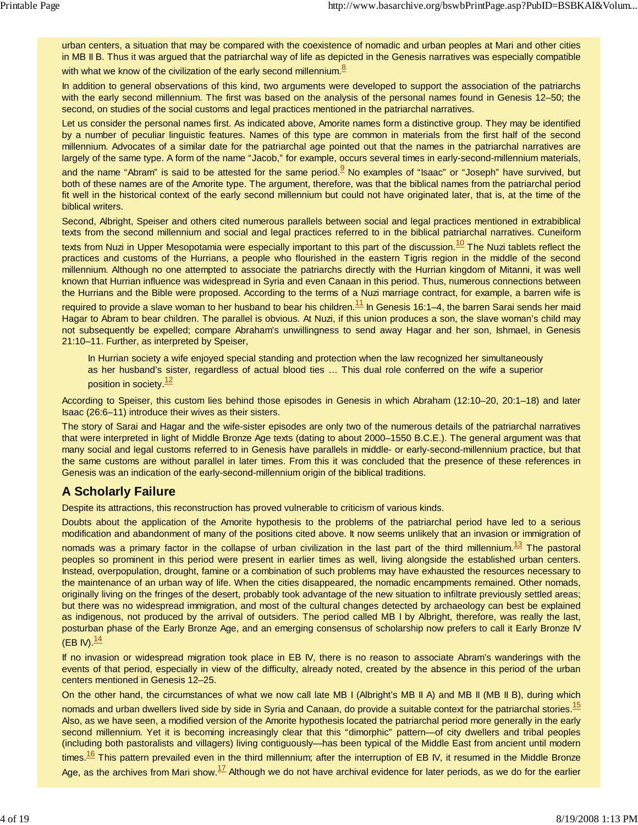urban centers, a situation that may be compared with the coexistence of nomadic and urban peoples at Mari and other cities in MB II B. Thus it was argued that the patriarchal way of life as depicted in the Genesis narratives was especially compatible

with what we know of the civilization of the early second millennium.<sup>8</sup>

In addition to general observations of this kind, two arguments were developed to support the association of the patriarchs with the early second millennium. The first was based on the analysis of the personal names found in Genesis 12–50; the second, on studies of the social customs and legal practices mentioned in the patriarchal narratives.

Let us consider the personal names first. As indicated above, Amorite names form a distinctive group. They may be identified by a number of peculiar linguistic features. Names of this type are common in materials from the first half of the second millennium. Advocates of a similar date for the patriarchal age pointed out that the names in the patriarchal narratives are largely of the same type. A form of the name "Jacob," for example, occurs several times in early-second-millennium materials,

and the name "Abram" is said to be attested for the same period. $\frac{9}{5}$  No examples of "Isaac" or "Joseph" have survived, but both of these names are of the Amorite type. The argument, therefore, was that the biblical names from the patriarchal period fit well in the historical context of the early second millennium but could not have originated later, that is, at the time of the biblical writers.

Second, Albright, Speiser and others cited numerous parallels between social and legal practices mentioned in extrabiblical texts from the second millennium and social and legal practices referred to in the biblical patriarchal narratives. Cuneiform texts from Nuzi in Upper Mesopotamia were especially important to this part of the discussion.<sup>10</sup> The Nuzi tablets reflect the practices and customs of the Hurrians, a people who flourished in the eastern Tigris region in the middle of the second millennium. Although no one attempted to associate the patriarchs directly with the Hurrian kingdom of Mitanni, it was well known that Hurrian influence was widespread in Syria and even Canaan in this period. Thus, numerous connections between the Hurrians and the Bible were proposed. According to the terms of a Nuzi marriage contract, for example, a barren wife is required to provide a slave woman to her husband to bear his children. $^{11}$  In Genesis 16:1–4, the barren Sarai sends her maid Hagar to Abram to bear children. The parallel is obvious. At Nuzi, if this union produces a son, the slave woman's child may not subsequently be expelled; compare Abraham's unwillingness to send away Hagar and her son, Ishmael, in Genesis 21:10–11. Further, as interpreted by Speiser,

In Hurrian society a wife enjoyed special standing and protection when the law recognized her simultaneously as her husband's sister, regardless of actual blood ties … This dual role conferred on the wife a superior position in society. $12$ 

According to Speiser, this custom lies behind those episodes in Genesis in which Abraham (12:10–20, 20:1–18) and later Isaac (26:6–11) introduce their wives as their sisters.

The story of Sarai and Hagar and the wife-sister episodes are only two of the numerous details of the patriarchal narratives that were interpreted in light of Middle Bronze Age texts (dating to about 2000–1550 B.C.E.). The general argument was that many social and legal customs referred to in Genesis have parallels in middle- or early-second-millennium practice, but that the same customs are without parallel in later times. From this it was concluded that the presence of these references in Genesis was an indication of the early-second-millennium origin of the biblical traditions.

## **A Scholarly Failure**

Despite its attractions, this reconstruction has proved vulnerable to criticism of various kinds.

Doubts about the application of the Amorite hypothesis to the problems of the patriarchal period have led to a serious modification and abandonment of many of the positions cited above. It now seems unlikely that an invasion or immigration of nomads was a primary factor in the collapse of urban civilization in the last part of the third millennium. $13$  The pastoral peoples so prominent in this period were present in earlier times as well, living alongside the established urban centers. Instead, overpopulation, drought, famine or a combination of such problems may have exhausted the resources necessary to the maintenance of an urban way of life. When the cities disappeared, the nomadic encampments remained. Other nomads, originally living on the fringes of the desert, probably took advantage of the new situation to infiltrate previously settled areas; but there was no widespread immigration, and most of the cultural changes detected by archaeology can best be explained as indigenous, not produced by the arrival of outsiders. The period called MB I by Albright, therefore, was really the last, posturban phase of the Early Bronze Age, and an emerging consensus of scholarship now prefers to call it Early Bronze IV (EB IV). $\frac{14}{1}$ 

If no invasion or widespread migration took place in EB IV, there is no reason to associate Abram's wanderings with the events of that period, especially in view of the difficulty, already noted, created by the absence in this period of the urban centers mentioned in Genesis 12–25.

On the other hand, the circumstances of what we now call late MB I (Albright's MB II A) and MB II (MB II B), during which nomads and urban dwellers lived side by side in Syria and Canaan, do provide a suitable context for the patriarchal stories.<sup>15</sup> Also, as we have seen, a modified version of the Amorite hypothesis located the patriarchal period more generally in the early second millennium. Yet it is becoming increasingly clear that this "dimorphic" pattern—of city dwellers and tribal peoples (including both pastoralists and villagers) living contiguously—has been typical of the Middle East from ancient until modern times.<sup>16</sup> This pattern prevailed even in the third millennium; after the interruption of EB IV, it resumed in the Middle Bronze Age, as the archives from Mari show. $^{17}$  Although we do not have archival evidence for later periods, as we do for the earlier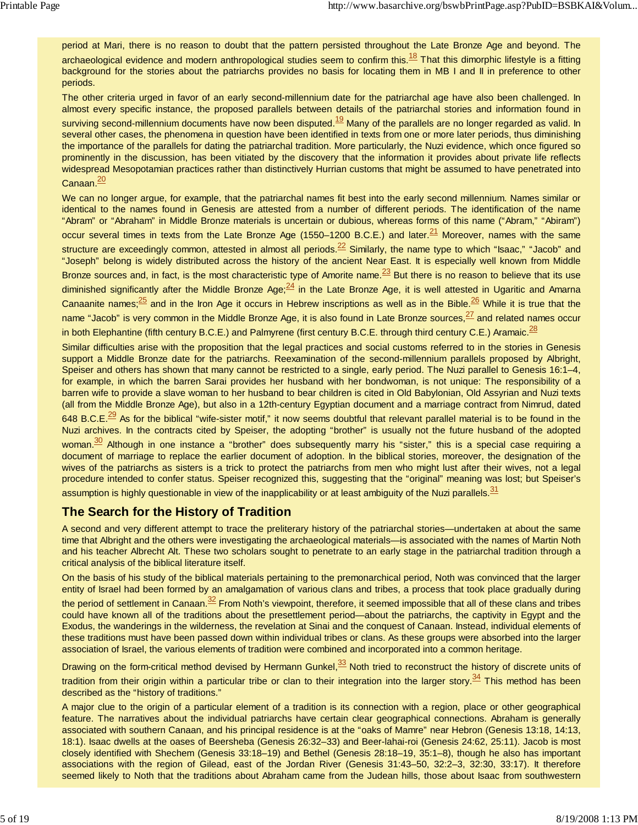period at Mari, there is no reason to doubt that the pattern persisted throughout the Late Bronze Age and beyond. The archaeological evidence and modern anthropological studies seem to confirm this.<sup>18</sup> That this dimorphic lifestyle is a fitting background for the stories about the patriarchs provides no basis for locating them in MB I and II in preference to other periods.

The other criteria urged in favor of an early second-millennium date for the patriarchal age have also been challenged. In almost every specific instance, the proposed parallels between details of the patriarchal stories and information found in surviving second-millennium documents have now been disputed.<sup>19</sup> Many of the parallels are no longer regarded as valid. In several other cases, the phenomena in question have been identified in texts from one or more later periods, thus diminishing the importance of the parallels for dating the patriarchal tradition. More particularly, the Nuzi evidence, which once figured so prominently in the discussion, has been vitiated by the discovery that the information it provides about private life reflects widespread Mesopotamian practices rather than distinctively Hurrian customs that might be assumed to have penetrated into Canaan. $\frac{20}{}$ 

We can no longer argue, for example, that the patriarchal names fit best into the early second millennium. Names similar or identical to the names found in Genesis are attested from a number of different periods. The identification of the name "Abram" or "Abraham" in Middle Bronze materials is uncertain or dubious, whereas forms of this name ("Abram," "Abiram") occur several times in texts from the Late Bronze Age (1550–1200 B.C.E.) and later. $\frac{21}{1}$  Moreover, names with the same structure are exceedingly common, attested in almost all periods. $^{22}$  Similarly, the name type to which "Isaac," "Jacob" and "Joseph" belong is widely distributed across the history of the ancient Near East. It is especially well known from Middle Bronze sources and, in fact, is the most characteristic type of Amorite name. $^{23}$  But there is no reason to believe that its use diminished significantly after the Middle Bronze Age; $\frac{24}{1}$  in the Late Bronze Age, it is well attested in Ugaritic and Amarna Canaanite names; $\frac{25}{1}$  and in the Iron Age it occurs in Hebrew inscriptions as well as in the Bible. $\frac{26}{1}$  While it is true that the name "Jacob" is very common in the Middle Bronze Age, it is also found in Late Bronze sources,  $\frac{27}{1}$  and related names occur in both Elephantine (fifth century B.C.E.) and Palmyrene (first century B.C.E. through third century C.E.) Aramaic. $\frac{28}{3}$ 

Similar difficulties arise with the proposition that the legal practices and social customs referred to in the stories in Genesis support a Middle Bronze date for the patriarchs. Reexamination of the second-millennium parallels proposed by Albright, Speiser and others has shown that many cannot be restricted to a single, early period. The Nuzi parallel to Genesis 16:1–4, for example, in which the barren Sarai provides her husband with her bondwoman, is not unique: The responsibility of a barren wife to provide a slave woman to her husband to bear children is cited in Old Babylonian, Old Assyrian and Nuzi texts (all from the Middle Bronze Age), but also in a 12th-century Egyptian document and a marriage contract from Nimrud, dated 648 B.C.E. $^{29}$  As for the biblical "wife-sister motif," it now seems doubtful that relevant parallel material is to be found in the Nuzi archives. In the contracts cited by Speiser, the adopting "brother" is usually not the future husband of the adopted woman. $\frac{30}{1}$  Although in one instance a "brother" does subsequently marry his "sister," this is a special case requiring a document of marriage to replace the earlier document of adoption. In the biblical stories, moreover, the designation of the wives of the patriarchs as sisters is a trick to protect the patriarchs from men who might lust after their wives, not a legal procedure intended to confer status. Speiser recognized this, suggesting that the "original" meaning was lost; but Speiser's

assumption is highly questionable in view of the inapplicability or at least ambiguity of the Nuzi parallels.<sup>31</sup>

## **The Search for the History of Tradition**

A second and very different attempt to trace the preliterary history of the patriarchal stories—undertaken at about the same time that Albright and the others were investigating the archaeological materials—is associated with the names of Martin Noth and his teacher Albrecht Alt. These two scholars sought to penetrate to an early stage in the patriarchal tradition through a critical analysis of the biblical literature itself.

On the basis of his study of the biblical materials pertaining to the premonarchical period, Noth was convinced that the larger entity of Israel had been formed by an amalgamation of various clans and tribes, a process that took place gradually during

the period of settlement in Canaan. $\frac{32}{5}$  From Noth's viewpoint, therefore, it seemed impossible that all of these clans and tribes could have known all of the traditions about the presettlement period—about the patriarchs, the captivity in Egypt and the Exodus, the wanderings in the wilderness, the revelation at Sinai and the conquest of Canaan. Instead, individual elements of these traditions must have been passed down within individual tribes or clans. As these groups were absorbed into the larger association of Israel, the various elements of tradition were combined and incorporated into a common heritage.

Drawing on the form-critical method devised by Hermann Gunkel, $33$  Noth tried to reconstruct the history of discrete units of tradition from their origin within a particular tribe or clan to their integration into the larger story. $\frac{34}{2}$  This method has been described as the "history of traditions."

A major clue to the origin of a particular element of a tradition is its connection with a region, place or other geographical feature. The narratives about the individual patriarchs have certain clear geographical connections. Abraham is generally associated with southern Canaan, and his principal residence is at the "oaks of Mamre" near Hebron (Genesis 13:18, 14:13, 18:1). Isaac dwells at the oases of Beersheba (Genesis 26:32–33) and Beer-lahai-roi (Genesis 24:62, 25:11). Jacob is most closely identified with Shechem (Genesis 33:18–19) and Bethel (Genesis 28:18–19, 35:1–8), though he also has important associations with the region of Gilead, east of the Jordan River (Genesis 31:43–50, 32:2–3, 32:30, 33:17). It therefore seemed likely to Noth that the traditions about Abraham came from the Judean hills, those about Isaac from southwestern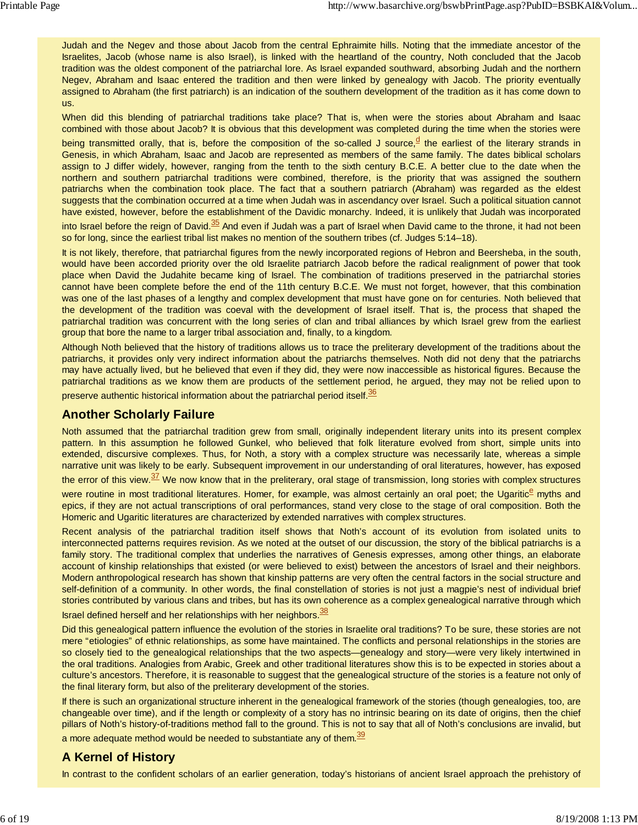Judah and the Negev and those about Jacob from the central Ephraimite hills. Noting that the immediate ancestor of the Israelites, Jacob (whose name is also Israel), is linked with the heartland of the country, Noth concluded that the Jacob tradition was the oldest component of the patriarchal lore. As Israel expanded southward, absorbing Judah and the northern Negev, Abraham and Isaac entered the tradition and then were linked by genealogy with Jacob. The priority eventually assigned to Abraham (the first patriarch) is an indication of the southern development of the tradition as it has come down to us.

When did this blending of patriarchal traditions take place? That is, when were the stories about Abraham and Isaac combined with those about Jacob? It is obvious that this development was completed during the time when the stories were

being transmitted orally, that is, before the composition of the so-called J source,  $\frac{d}{dx}$  the earliest of the literary strands in Genesis, in which Abraham, Isaac and Jacob are represented as members of the same family. The dates biblical scholars assign to J differ widely, however, ranging from the tenth to the sixth century B.C.E. A better clue to the date when the northern and southern patriarchal traditions were combined, therefore, is the priority that was assigned the southern patriarchs when the combination took place. The fact that a southern patriarch (Abraham) was regarded as the eldest suggests that the combination occurred at a time when Judah was in ascendancy over Israel. Such a political situation cannot have existed, however, before the establishment of the Davidic monarchy. Indeed, it is unlikely that Judah was incorporated into Israel before the reign of David.<sup>35</sup> And even if Judah was a part of Israel when David came to the throne, it had not been so for long, since the earliest tribal list makes no mention of the southern tribes (cf. Judges 5:14–18).

It is not likely, therefore, that patriarchal figures from the newly incorporated regions of Hebron and Beersheba, in the south, would have been accorded priority over the old Israelite patriarch Jacob before the radical realignment of power that took place when David the Judahite became king of Israel. The combination of traditions preserved in the patriarchal stories cannot have been complete before the end of the 11th century B.C.E. We must not forget, however, that this combination was one of the last phases of a lengthy and complex development that must have gone on for centuries. Noth believed that the development of the tradition was coeval with the development of Israel itself. That is, the process that shaped the patriarchal tradition was concurrent with the long series of clan and tribal alliances by which Israel grew from the earliest group that bore the name to a larger tribal association and, finally, to a kingdom.

Although Noth believed that the history of traditions allows us to trace the preliterary development of the traditions about the patriarchs, it provides only very indirect information about the patriarchs themselves. Noth did not deny that the patriarchs may have actually lived, but he believed that even if they did, they were now inaccessible as historical figures. Because the patriarchal traditions as we know them are products of the settlement period, he argued, they may not be relied upon to preserve authentic historical information about the patriarchal period itself.<sup>36</sup>

### **Another Scholarly Failure**

Noth assumed that the patriarchal tradition grew from small, originally independent literary units into its present complex pattern. In this assumption he followed Gunkel, who believed that folk literature evolved from short, simple units into extended, discursive complexes. Thus, for Noth, a story with a complex structure was necessarily late, whereas a simple narrative unit was likely to be early. Subsequent improvement in our understanding of oral literatures, however, has exposed

the error of this view.<sup>37</sup> We now know that in the preliterary, oral stage of transmission, long stories with complex structures were routine in most traditional literatures. Homer, for example, was almost certainly an oral poet; the Ugaritic<sup>e</sup> myths and epics, if they are not actual transcriptions of oral performances, stand very close to the stage of oral composition. Both the Homeric and Ugaritic literatures are characterized by extended narratives with complex structures.

Recent analysis of the patriarchal tradition itself shows that Noth's account of its evolution from isolated units to interconnected patterns requires revision. As we noted at the outset of our discussion, the story of the biblical patriarchs is a family story. The traditional complex that underlies the narratives of Genesis expresses, among other things, an elaborate account of kinship relationships that existed (or were believed to exist) between the ancestors of Israel and their neighbors. Modern anthropological research has shown that kinship patterns are very often the central factors in the social structure and self-definition of a community. In other words, the final constellation of stories is not just a magpie's nest of individual brief stories contributed by various clans and tribes, but has its own coherence as a complex genealogical narrative through which

Israel defined herself and her relationships with her neighbors.<sup>38</sup>

Did this genealogical pattern influence the evolution of the stories in Israelite oral traditions? To be sure, these stories are not mere "etiologies" of ethnic relationships, as some have maintained. The conflicts and personal relationships in the stories are so closely tied to the genealogical relationships that the two aspects—genealogy and story—were very likely intertwined in the oral traditions. Analogies from Arabic, Greek and other traditional literatures show this is to be expected in stories about a culture's ancestors. Therefore, it is reasonable to suggest that the genealogical structure of the stories is a feature not only of the final literary form, but also of the preliterary development of the stories.

If there is such an organizational structure inherent in the genealogical framework of the stories (though genealogies, too, are changeable over time), and if the length or complexity of a story has no intrinsic bearing on its date of origins, then the chief pillars of Noth's history-of-traditions method fall to the ground. This is not to say that all of Noth's conclusions are invalid, but

a more adequate method would be needed to substantiate any of them. $\frac{39}{2}$ 

## **A Kernel of History**

In contrast to the confident scholars of an earlier generation, today's historians of ancient Israel approach the prehistory of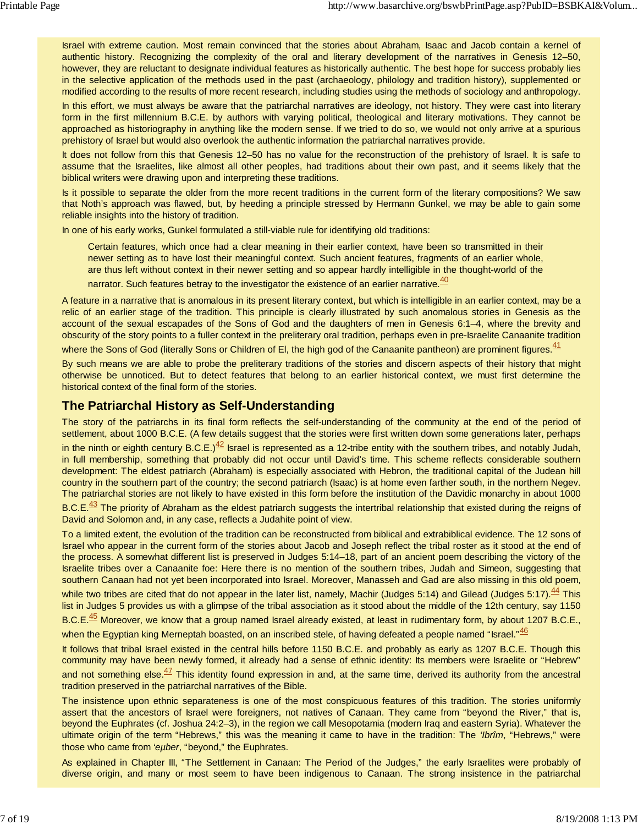Israel with extreme caution. Most remain convinced that the stories about Abraham, Isaac and Jacob contain a kernel of authentic history. Recognizing the complexity of the oral and literary development of the narratives in Genesis 12–50, however, they are reluctant to designate individual features as historically authentic. The best hope for success probably lies in the selective application of the methods used in the past (archaeology, philology and tradition history), supplemented or modified according to the results of more recent research, including studies using the methods of sociology and anthropology.

In this effort, we must always be aware that the patriarchal narratives are ideology, not history. They were cast into literary form in the first millennium B.C.E. by authors with varying political, theological and literary motivations. They cannot be approached as historiography in anything like the modern sense. If we tried to do so, we would not only arrive at a spurious prehistory of Israel but would also overlook the authentic information the patriarchal narratives provide.

It does not follow from this that Genesis 12–50 has no value for the reconstruction of the prehistory of Israel. It is safe to assume that the Israelites, like almost all other peoples, had traditions about their own past, and it seems likely that the biblical writers were drawing upon and interpreting these traditions.

Is it possible to separate the older from the more recent traditions in the current form of the literary compositions? We saw that Noth's approach was flawed, but, by heeding a principle stressed by Hermann Gunkel, we may be able to gain some reliable insights into the history of tradition.

In one of his early works, Gunkel formulated a still-viable rule for identifying old traditions:

Certain features, which once had a clear meaning in their earlier context, have been so transmitted in their newer setting as to have lost their meaningful context. Such ancient features, fragments of an earlier whole, are thus left without context in their newer setting and so appear hardly intelligible in the thought-world of the

narrator. Such features betray to the investigator the existence of an earlier narrative. $\frac{40}{40}$ 

A feature in a narrative that is anomalous in its present literary context, but which is intelligible in an earlier context, may be a relic of an earlier stage of the tradition. This principle is clearly illustrated by such anomalous stories in Genesis as the account of the sexual escapades of the Sons of God and the daughters of men in Genesis 6:1–4, where the brevity and obscurity of the story points to a fuller context in the preliterary oral tradition, perhaps even in pre-Israelite Canaanite tradition

where the Sons of God (literally Sons or Children of El, the high god of the Canaanite pantheon) are prominent figures.  $41$ 

By such means we are able to probe the preliterary traditions of the stories and discern aspects of their history that might otherwise be unnoticed. But to detect features that belong to an earlier historical context, we must first determine the historical context of the final form of the stories.

### **The Patriarchal History as Self-Understanding**

The story of the patriarchs in its final form reflects the self-understanding of the community at the end of the period of settlement, about 1000 B.C.E. (A few details suggest that the stories were first written down some generations later, perhaps

in the ninth or eighth century B.C.E.) $\frac{42}{5}$  Israel is represented as a 12-tribe entity with the southern tribes, and notably Judah, in full membership, something that probably did not occur until David's time. This scheme reflects considerable southern development: The eldest patriarch (Abraham) is especially associated with Hebron, the traditional capital of the Judean hill country in the southern part of the country; the second patriarch (Isaac) is at home even farther south, in the northern Negev. The patriarchal stories are not likely to have existed in this form before the institution of the Davidic monarchy in about 1000

B.C.E.<sup>43</sup> The priority of Abraham as the eldest patriarch suggests the intertribal relationship that existed during the reigns of David and Solomon and, in any case, reflects a Judahite point of view.

To a limited extent, the evolution of the tradition can be reconstructed from biblical and extrabiblical evidence. The 12 sons of Israel who appear in the current form of the stories about Jacob and Joseph reflect the tribal roster as it stood at the end of the process. A somewhat different list is preserved in Judges 5:14–18, part of an ancient poem describing the victory of the Israelite tribes over a Canaanite foe: Here there is no mention of the southern tribes, Judah and Simeon, suggesting that southern Canaan had not yet been incorporated into Israel. Moreover, Manasseh and Gad are also missing in this old poem, while two tribes are cited that do not appear in the later list, namely, Machir (Judges 5:14) and Gilead (Judges 5:17). $\frac{44}{1}$  This list in Judges 5 provides us with a glimpse of the tribal association as it stood about the middle of the 12th century, say 1150 B.C.E.<sup>45</sup> Moreover, we know that a group named Israel already existed, at least in rudimentary form, by about 1207 B.C.E., when the Egyptian king Merneptah boasted, on an inscribed stele, of having defeated a people named "Israel."<sup>46</sup>

It follows that tribal Israel existed in the central hills before 1150 B.C.E. and probably as early as 1207 B.C.E. Though this community may have been newly formed, it already had a sense of ethnic identity: Its members were Israelite or "Hebrew" and not something else. $47$  This identity found expression in and, at the same time, derived its authority from the ancestral tradition preserved in the patriarchal narratives of the Bible.

The insistence upon ethnic separateness is one of the most conspicuous features of this tradition. The stories uniformly assert that the ancestors of Israel were foreigners, not natives of Canaan. They came from "beyond the River," that is, beyond the Euphrates (cf. Joshua 24:2–3), in the region we call Mesopotamia (modern Iraq and eastern Syria). Whatever the ultimate origin of the term "Hebrews," this was the meaning it came to have in the tradition: The *'Ibrîm*, "Hebrews," were those who came from *'eµber*, "beyond," the Euphrates.

As explained in Chapter III, "The Settlement in Canaan: The Period of the Judges," the early Israelites were probably of diverse origin, and many or most seem to have been indigenous to Canaan. The strong insistence in the patriarchal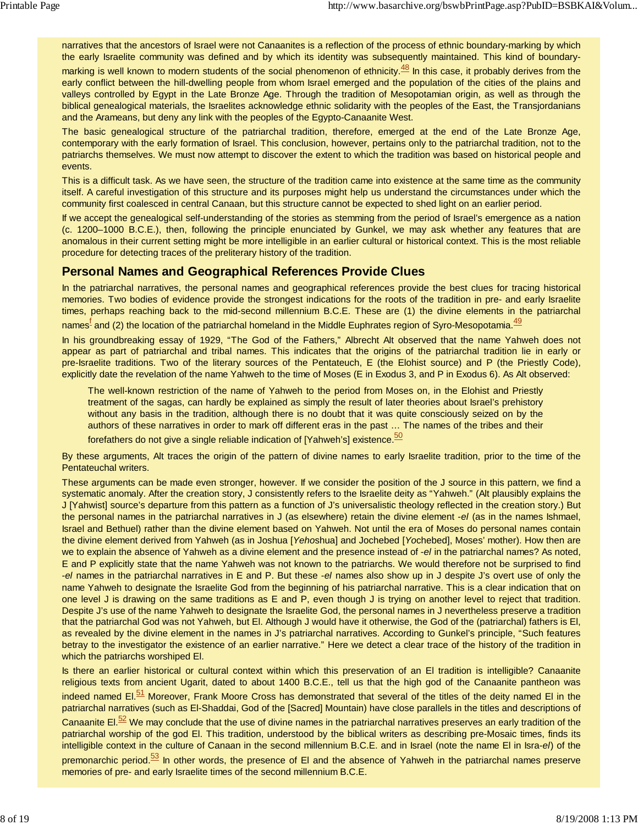narratives that the ancestors of Israel were not Canaanites is a reflection of the process of ethnic boundary-marking by which the early Israelite community was defined and by which its identity was subsequently maintained. This kind of boundary-

marking is well known to modern students of the social phenomenon of ethnicity.<sup>48</sup> In this case, it probably derives from the early conflict between the hill-dwelling people from whom Israel emerged and the population of the cities of the plains and valleys controlled by Egypt in the Late Bronze Age. Through the tradition of Mesopotamian origin, as well as through the biblical genealogical materials, the Israelites acknowledge ethnic solidarity with the peoples of the East, the Transjordanians and the Arameans, but deny any link with the peoples of the Egypto-Canaanite West.

The basic genealogical structure of the patriarchal tradition, therefore, emerged at the end of the Late Bronze Age, contemporary with the early formation of Israel. This conclusion, however, pertains only to the patriarchal tradition, not to the patriarchs themselves. We must now attempt to discover the extent to which the tradition was based on historical people and events.

This is a difficult task. As we have seen, the structure of the tradition came into existence at the same time as the community itself. A careful investigation of this structure and its purposes might help us understand the circumstances under which the community first coalesced in central Canaan, but this structure cannot be expected to shed light on an earlier period.

If we accept the genealogical self-understanding of the stories as stemming from the period of Israel's emergence as a nation (c. 1200–1000 B.C.E.), then, following the principle enunciated by Gunkel, we may ask whether any features that are anomalous in their current setting might be more intelligible in an earlier cultural or historical context. This is the most reliable procedure for detecting traces of the preliterary history of the tradition.

### **Personal Names and Geographical References Provide Clues**

In the patriarchal narratives, the personal names and geographical references provide the best clues for tracing historical memories. Two bodies of evidence provide the strongest indications for the roots of the tradition in pre- and early Israelite times, perhaps reaching back to the mid-second millennium B.C.E. These are (1) the divine elements in the patriarchal

names<sup>t</sup> and (2) the location of the patriarchal homeland in the Middle Euphrates region of Syro-Mesopotamia.<sup>49</sup>

In his groundbreaking essay of 1929, "The God of the Fathers," Albrecht Alt observed that the name Yahweh does not appear as part of patriarchal and tribal names. This indicates that the origins of the patriarchal tradition lie in early or pre-Israelite traditions. Two of the literary sources of the Pentateuch, E (the Elohist source) and P (the Priestly Code), explicitly date the revelation of the name Yahweh to the time of Moses (E in Exodus 3, and P in Exodus 6). As Alt observed:

The well-known restriction of the name of Yahweh to the period from Moses on, in the Elohist and Priestly treatment of the sagas, can hardly be explained as simply the result of later theories about Israel's prehistory without any basis in the tradition, although there is no doubt that it was quite consciously seized on by the authors of these narratives in order to mark off different eras in the past … The names of the tribes and their

forefathers do not give a single reliable indication of [Yahweh's] existence. $50$ 

By these arguments, Alt traces the origin of the pattern of divine names to early Israelite tradition, prior to the time of the Pentateuchal writers.

These arguments can be made even stronger, however. If we consider the position of the J source in this pattern, we find a systematic anomaly. After the creation story, J consistently refers to the Israelite deity as "Yahweh." (Alt plausibly explains the J [Yahwist] source's departure from this pattern as a function of J's universalistic theology reflected in the creation story.) But the personal names in the patriarchal narratives in J (as elsewhere) retain the divine element -*el* (as in the names Ishmael, Israel and Bethuel) rather than the divine element based on Yahweh. Not until the era of Moses do personal names contain the divine element derived from Yahweh (as in Joshua [*Yeho*shua] and Jochebed [*Yo*chebed], Moses' mother). How then are we to explain the absence of Yahweh as a divine element and the presence instead of -*el* in the patriarchal names? As noted, E and P explicitly state that the name Yahweh was not known to the patriarchs. We would therefore not be surprised to find -*el* names in the patriarchal narratives in E and P. But these -*el* names also show up in J despite J's overt use of only the name Yahweh to designate the Israelite God from the beginning of his patriarchal narrative. This is a clear indication that on one level J is drawing on the same traditions as E and P, even though J is trying on another level to reject that tradition. Despite J's use of the name Yahweh to designate the Israelite God, the personal names in J nevertheless preserve a tradition that the patriarchal God was not Yahweh, but El. Although J would have it otherwise, the God of the (patriarchal) fathers is El, as revealed by the divine element in the names in J's patriarchal narratives. According to Gunkel's principle, "Such features betray to the investigator the existence of an earlier narrative." Here we detect a clear trace of the history of the tradition in which the patriarchs worshiped El.

Is there an earlier historical or cultural context within which this preservation of an El tradition is intelligible? Canaanite religious texts from ancient Ugarit, dated to about 1400 B.C.E., tell us that the high god of the Canaanite pantheon was indeed named El.<sup>51</sup> Moreover, Frank Moore Cross has demonstrated that several of the titles of the deity named El in the patriarchal narratives (such as El-Shaddai, God of the [Sacred] Mountain) have close parallels in the titles and descriptions of Canaanite El. $52$  We may conclude that the use of divine names in the patriarchal narratives preserves an early tradition of the patriarchal worship of the god El. This tradition, understood by the biblical writers as describing pre-Mosaic times, finds its intelligible context in the culture of Canaan in the second millennium B.C.E. and in Israel (note the name El in Isra-*el*) of the premonarchic period.<sup>53</sup> In other words, the presence of El and the absence of Yahweh in the patriarchal names preserve memories of pre- and early Israelite times of the second millennium B.C.E.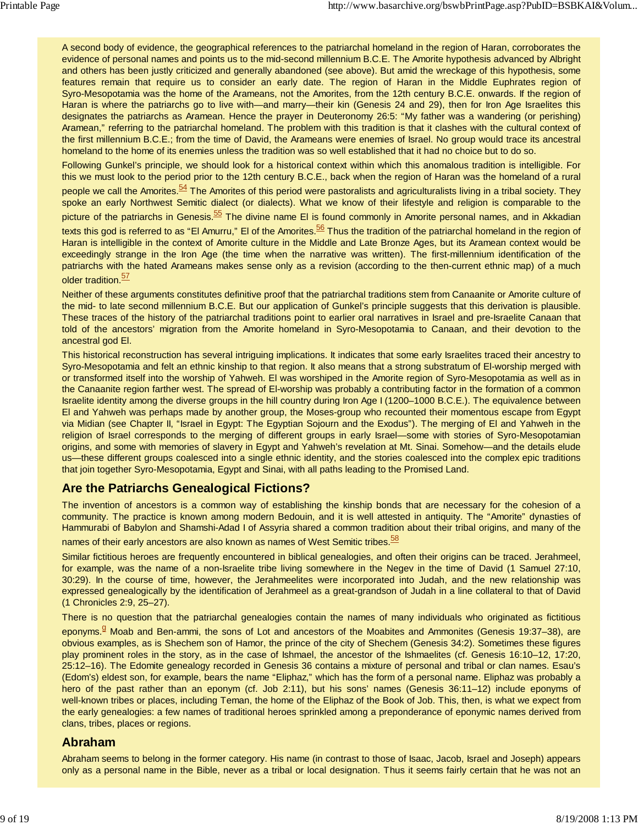A second body of evidence, the geographical references to the patriarchal homeland in the region of Haran, corroborates the evidence of personal names and points us to the mid-second millennium B.C.E. The Amorite hypothesis advanced by Albright and others has been justly criticized and generally abandoned (see above). But amid the wreckage of this hypothesis, some features remain that require us to consider an early date. The region of Haran in the Middle Euphrates region of Syro-Mesopotamia was the home of the Arameans, not the Amorites, from the 12th century B.C.E. onwards. If the region of Haran is where the patriarchs go to live with—and marry—their kin (Genesis 24 and 29), then for Iron Age Israelites this designates the patriarchs as Aramean. Hence the prayer in Deuteronomy 26:5: "My father was a wandering (or perishing) Aramean," referring to the patriarchal homeland. The problem with this tradition is that it clashes with the cultural context of the first millennium B.C.E.; from the time of David, the Arameans were enemies of Israel. No group would trace its ancestral homeland to the home of its enemies unless the tradition was so well established that it had no choice but to do so.

Following Gunkel's principle, we should look for a historical context within which this anomalous tradition is intelligible. For this we must look to the period prior to the 12th century B.C.E., back when the region of Haran was the homeland of a rural people we call the Amorites.<sup>54</sup> The Amorites of this period were pastoralists and agriculturalists living in a tribal society. They spoke an early Northwest Semitic dialect (or dialects). What we know of their lifestyle and religion is comparable to the picture of the patriarchs in Genesis.<sup>55</sup> The divine name El is found commonly in Amorite personal names, and in Akkadian texts this god is referred to as "El Amurru," El of the Amorites.<sup>56</sup> Thus the tradition of the patriarchal homeland in the region of Haran is intelligible in the context of Amorite culture in the Middle and Late Bronze Ages, but its Aramean context would be exceedingly strange in the Iron Age (the time when the narrative was written). The first-millennium identification of the patriarchs with the hated Arameans makes sense only as a revision (according to the then-current ethnic map) of a much older tradition.<sup>57</sup>

Neither of these arguments constitutes definitive proof that the patriarchal traditions stem from Canaanite or Amorite culture of the mid- to late second millennium B.C.E. But our application of Gunkel's principle suggests that this derivation is plausible. These traces of the history of the patriarchal traditions point to earlier oral narratives in Israel and pre-Israelite Canaan that told of the ancestors' migration from the Amorite homeland in Syro-Mesopotamia to Canaan, and their devotion to the ancestral god El.

This historical reconstruction has several intriguing implications. It indicates that some early Israelites traced their ancestry to Syro-Mesopotamia and felt an ethnic kinship to that region. It also means that a strong substratum of El-worship merged with or transformed itself into the worship of Yahweh. El was worshiped in the Amorite region of Syro-Mesopotamia as well as in the Canaanite region farther west. The spread of El-worship was probably a contributing factor in the formation of a common Israelite identity among the diverse groups in the hill country during Iron Age I (1200–1000 B.C.E.). The equivalence between El and Yahweh was perhaps made by another group, the Moses-group who recounted their momentous escape from Egypt via Midian (see Chapter II, "Israel in Egypt: The Egyptian Sojourn and the Exodus"). The merging of El and Yahweh in the religion of Israel corresponds to the merging of different groups in early Israel—some with stories of Syro-Mesopotamian origins, and some with memories of slavery in Egypt and Yahweh's revelation at Mt. Sinai. Somehow—and the details elude us—these different groups coalesced into a single ethnic identity, and the stories coalesced into the complex epic traditions that join together Syro-Mesopotamia, Egypt and Sinai, with all paths leading to the Promised Land.

## **Are the Patriarchs Genealogical Fictions?**

The invention of ancestors is a common way of establishing the kinship bonds that are necessary for the cohesion of a community. The practice is known among modern Bedouin, and it is well attested in antiquity. The "Amorite" dynasties of Hammurabi of Babylon and Shamshi-Adad I of Assyria shared a common tradition about their tribal origins, and many of the

names of their early ancestors are also known as names of West Semitic tribes.<sup>58</sup>

Similar fictitious heroes are frequently encountered in biblical genealogies, and often their origins can be traced. Jerahmeel, for example, was the name of a non-Israelite tribe living somewhere in the Negev in the time of David (1 Samuel 27:10, 30:29). In the course of time, however, the Jerahmeelites were incorporated into Judah, and the new relationship was expressed genealogically by the identification of Jerahmeel as a great-grandson of Judah in a line collateral to that of David (1 Chronicles 2:9, 25–27).

There is no question that the patriarchal genealogies contain the names of many individuals who originated as fictitious

eponyms.<sup>g</sup> Moab and Ben-ammi, the sons of Lot and ancestors of the Moabites and Ammonites (Genesis 19:37–38), are obvious examples, as is Shechem son of Hamor, the prince of the city of Shechem (Genesis 34:2). Sometimes these figures play prominent roles in the story, as in the case of Ishmael, the ancestor of the Ishmaelites (cf. Genesis 16:10–12, 17:20, 25:12–16). The Edomite genealogy recorded in Genesis 36 contains a mixture of personal and tribal or clan names. Esau's (Edom's) eldest son, for example, bears the name "Eliphaz," which has the form of a personal name. Eliphaz was probably a hero of the past rather than an eponym (cf. Job 2:11), but his sons' names (Genesis 36:11–12) include eponyms of well-known tribes or places, including Teman, the home of the Eliphaz of the Book of Job. This, then, is what we expect from the early genealogies: a few names of traditional heroes sprinkled among a preponderance of eponymic names derived from clans, tribes, places or regions.

### **Abraham**

Abraham seems to belong in the former category. His name (in contrast to those of Isaac, Jacob, Israel and Joseph) appears only as a personal name in the Bible, never as a tribal or local designation. Thus it seems fairly certain that he was not an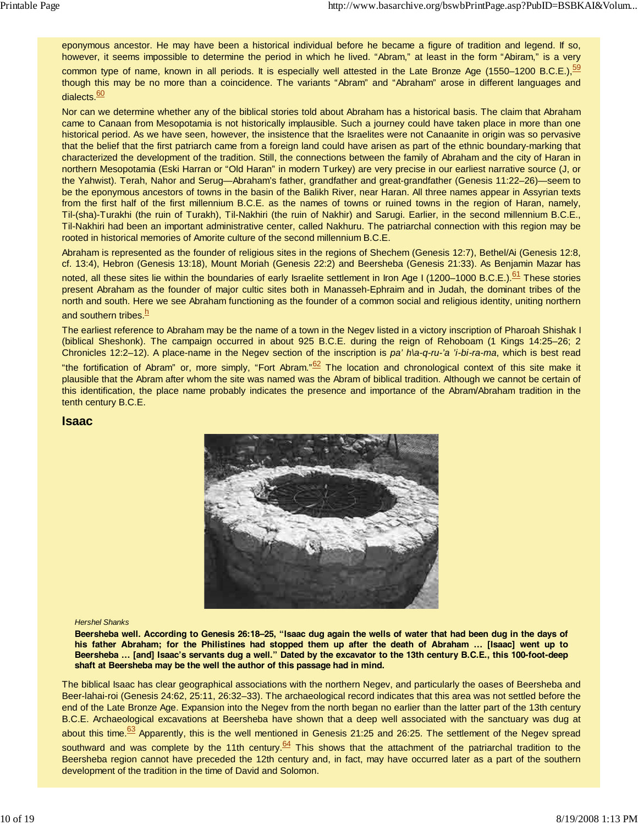eponymous ancestor. He may have been a historical individual before he became a figure of tradition and legend. If so, however, it seems impossible to determine the period in which he lived. "Abram," at least in the form "Abiram," is a very common type of name, known in all periods. It is especially well attested in the Late Bronze Age (1550–1200 B.C.E.), <sup>59</sup> though this may be no more than a coincidence. The variants "Abram" and "Abraham" arose in different languages and dialects.<sup>60</sup>

Nor can we determine whether any of the biblical stories told about Abraham has a historical basis. The claim that Abraham came to Canaan from Mesopotamia is not historically implausible. Such a journey could have taken place in more than one historical period. As we have seen, however, the insistence that the Israelites were not Canaanite in origin was so pervasive that the belief that the first patriarch came from a foreign land could have arisen as part of the ethnic boundary-marking that characterized the development of the tradition. Still, the connections between the family of Abraham and the city of Haran in northern Mesopotamia (Eski Harran or "Old Haran" in modern Turkey) are very precise in our earliest narrative source (J, or the Yahwist). Terah, Nahor and Serug—Abraham's father, grandfather and great-grandfather (Genesis 11:22–26)—seem to be the eponymous ancestors of towns in the basin of the Balikh River, near Haran. All three names appear in Assyrian texts from the first half of the first millennium B.C.E. as the names of towns or ruined towns in the region of Haran, namely, Til-(sha)-Turakhi (the ruin of Turakh), Til-Nakhiri (the ruin of Nakhir) and Sarugi. Earlier, in the second millennium B.C.E., Til-Nakhiri had been an important administrative center, called Nakhuru. The patriarchal connection with this region may be rooted in historical memories of Amorite culture of the second millennium B.C.E.

Abraham is represented as the founder of religious sites in the regions of Shechem (Genesis 12:7), Bethel/Ai (Genesis 12:8, cf. 13:4), Hebron (Genesis 13:18), Mount Moriah (Genesis 22:2) and Beersheba (Genesis 21:33). As Benjamin Mazar has noted, all these sites lie within the boundaries of early Israelite settlement in Iron Age I (1200–1000 B.C.E.).<sup>61</sup> These stories present Abraham as the founder of major cultic sites both in Manasseh-Ephraim and in Judah, the dominant tribes of the north and south. Here we see Abraham functioning as the founder of a common social and religious identity, uniting northern and southern tribes.<sup>h</sup>

The earliest reference to Abraham may be the name of a town in the Negev listed in a victory inscription of Pharoah Shishak I (biblical Sheshonk). The campaign occurred in about 925 B.C.E. during the reign of Rehoboam (1 Kings 14:25–26; 2 Chronicles 12:2–12). A place-name in the Negev section of the inscription is *pa' h\a-q-ru-'a 'i-bi-ra-ma*, which is best read "the fortification of Abram" or, more simply, "Fort Abram." $62$  The location and chronological context of this site make it plausible that the Abram after whom the site was named was the Abram of biblical tradition. Although we cannot be certain of this identification, the place name probably indicates the presence and importance of the Abram/Abraham tradition in the tenth century B.C.E.

#### **Isaac**



#### *Hershel Shanks*

**Beersheba well. According to Genesis 26:18–25, "Isaac dug again the wells of water that had been dug in the days of his father Abraham; for the Philistines had stopped them up after the death of Abraham … [Isaac] went up to Beersheba … [and] Isaac's servants dug a well." Dated by the excavator to the 13th century B.C.E., this 100-foot-deep shaft at Beersheba may be the well the author of this passage had in mind.**

The biblical Isaac has clear geographical associations with the northern Negev, and particularly the oases of Beersheba and Beer-lahai-roi (Genesis 24:62, 25:11, 26:32–33). The archaeological record indicates that this area was not settled before the end of the Late Bronze Age. Expansion into the Negev from the north began no earlier than the latter part of the 13th century B.C.E. Archaeological excavations at Beersheba have shown that a deep well associated with the sanctuary was dug at about this time.<sup>63</sup> Apparently, this is the well mentioned in Genesis 21:25 and 26:25. The settlement of the Negev spread southward and was complete by the 11th century.  $64$  This shows that the attachment of the patriarchal tradition to the Beersheba region cannot have preceded the 12th century and, in fact, may have occurred later as a part of the southern development of the tradition in the time of David and Solomon.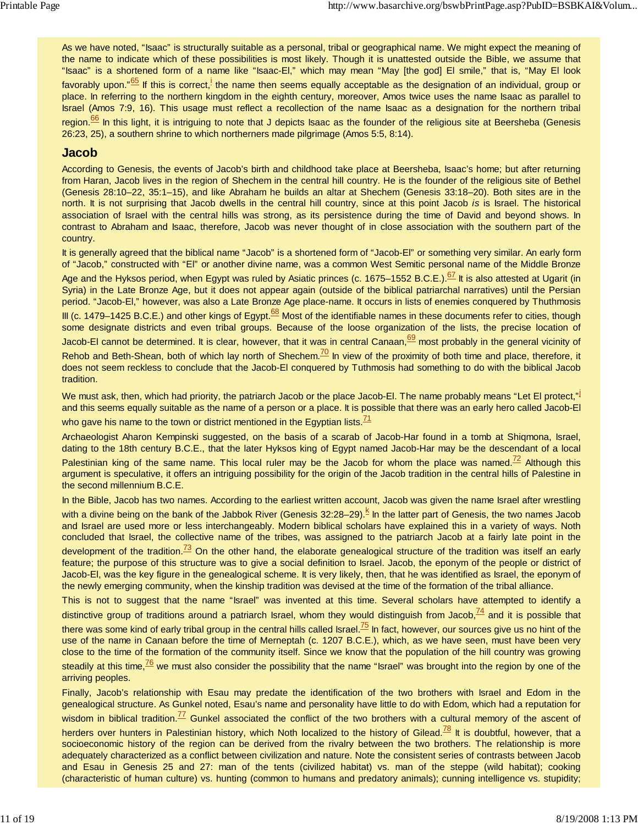As we have noted, "Isaac" is structurally suitable as a personal, tribal or geographical name. We might expect the meaning of the name to indicate which of these possibilities is most likely. Though it is unattested outside the Bible, we assume that "Isaac" is a shortened form of a name like "Isaac-El," which may mean "May [the god] El smile," that is, "May El look favorably upon."<sup>65</sup> If this is correct,<sup>i</sup> the name then seems equally acceptable as the designation of an individual, group or place. In referring to the northern kingdom in the eighth century, moreover, Amos twice uses the name Isaac as parallel to Israel (Amos 7:9, 16). This usage must reflect a recollection of the name Isaac as a designation for the northern tribal region.<sup>66</sup> In this light, it is intriguing to note that J depicts Isaac as the founder of the religious site at Beersheba (Genesis 26:23, 25), a southern shrine to which northerners made pilgrimage (Amos 5:5, 8:14).

### **Jacob**

According to Genesis, the events of Jacob's birth and childhood take place at Beersheba, Isaac's home; but after returning from Haran, Jacob lives in the region of Shechem in the central hill country. He is the founder of the religious site of Bethel (Genesis 28:10–22, 35:1–15), and like Abraham he builds an altar at Shechem (Genesis 33:18–20). Both sites are in the north. It is not surprising that Jacob dwells in the central hill country, since at this point Jacob *is* is Israel. The historical association of Israel with the central hills was strong, as its persistence during the time of David and beyond shows. In contrast to Abraham and Isaac, therefore, Jacob was never thought of in close association with the southern part of the country.

It is generally agreed that the biblical name "Jacob" is a shortened form of "Jacob-El" or something very similar. An early form of "Jacob," constructed with "El" or another divine name, was a common West Semitic personal name of the Middle Bronze Age and the Hyksos period, when Egypt was ruled by Asiatic princes (c. 1675–1552 B.C.E.).<sup>67</sup> It is also attested at Ugarit (in Syria) in the Late Bronze Age, but it does not appear again (outside of the biblical patriarchal narratives) until the Persian period. "Jacob-El," however, was also a Late Bronze Age place-name. It occurs in lists of enemies conquered by Thuthmosis

III (c. 1479–1425 B.C.E.) and other kings of Egypt.<sup>68</sup> Most of the identifiable names in these documents refer to cities, though some designate districts and even tribal groups. Because of the loose organization of the lists, the precise location of

Jacob-El cannot be determined. It is clear, however, that it was in central Canaan,  $\frac{69}{10}$  most probably in the general vicinity of Rehob and Beth-Shean, both of which lay north of Shechem. $\frac{70}{2}$  In view of the proximity of both time and place, therefore, it does not seem reckless to conclude that the Jacob-El conquered by Tuthmosis had something to do with the biblical Jacob tradition.

We must ask, then, which had priority, the patriarch Jacob or the place Jacob-El. The name probably means "Let El protect," and this seems equally suitable as the name of a person or a place. It is possible that there was an early hero called Jacob-El who gave his name to the town or district mentioned in the Egyptian lists. $\frac{11}{1}$ 

Archaeologist Aharon Kempinski suggested, on the basis of a scarab of Jacob-Har found in a tomb at Shiqmona, Israel, dating to the 18th century B.C.E., that the later Hyksos king of Egypt named Jacob-Har may be the descendant of a local Palestinian king of the same name. This local ruler may be the Jacob for whom the place was named. $^{72}$  Although this argument is speculative, it offers an intriguing possibility for the origin of the Jacob tradition in the central hills of Palestine in the second millennium B.C.E.

In the Bible, Jacob has two names. According to the earliest written account, Jacob was given the name Israel after wrestling with a divine being on the bank of the Jabbok River (Genesis 32:28–29). $\frac{k}{ }$  In the latter part of Genesis, the two names Jacob and Israel are used more or less interchangeably. Modern biblical scholars have explained this in a variety of ways. Noth concluded that Israel, the collective name of the tribes, was assigned to the patriarch Jacob at a fairly late point in the development of the tradition.<sup>73</sup> On the other hand, the elaborate genealogical structure of the tradition was itself an early feature; the purpose of this structure was to give a social definition to Israel. Jacob, the eponym of the people or district of Jacob-El, was the key figure in the genealogical scheme. It is very likely, then, that he was identified as Israel, the eponym of the newly emerging community, when the kinship tradition was devised at the time of the formation of the tribal alliance.

This is not to suggest that the name "Israel" was invented at this time. Several scholars have attempted to identify a distinctive group of traditions around a patriarch Israel, whom they would distinguish from Jacob,  $74$  and it is possible that

there was some kind of early tribal group in the central hills called Israel. $^{75}$  In fact, however, our sources give us no hint of the use of the name in Canaan before the time of Merneptah (c. 1207 B.C.E.), which, as we have seen, must have been very close to the time of the formation of the community itself. Since we know that the population of the hill country was growing steadily at this time,<sup>76</sup> we must also consider the possibility that the name "Israel" was brought into the region by one of the arriving peoples.

Finally, Jacob's relationship with Esau may predate the identification of the two brothers with Israel and Edom in the genealogical structure. As Gunkel noted, Esau's name and personality have little to do with Edom, which had a reputation for wisdom in biblical tradition. $\frac{77}{1}$  Gunkel associated the conflict of the two brothers with a cultural memory of the ascent of herders over hunters in Palestinian history, which Noth localized to the history of Gilead.<sup>78</sup> It is doubtful, however, that a socioeconomic history of the region can be derived from the rivalry between the two brothers. The relationship is more adequately characterized as a conflict between civilization and nature. Note the consistent series of contrasts between Jacob and Esau in Genesis 25 and 27: man of the tents (civilized habitat) vs. man of the steppe (wild habitat); cooking (characteristic of human culture) vs. hunting (common to humans and predatory animals); cunning intelligence vs. stupidity;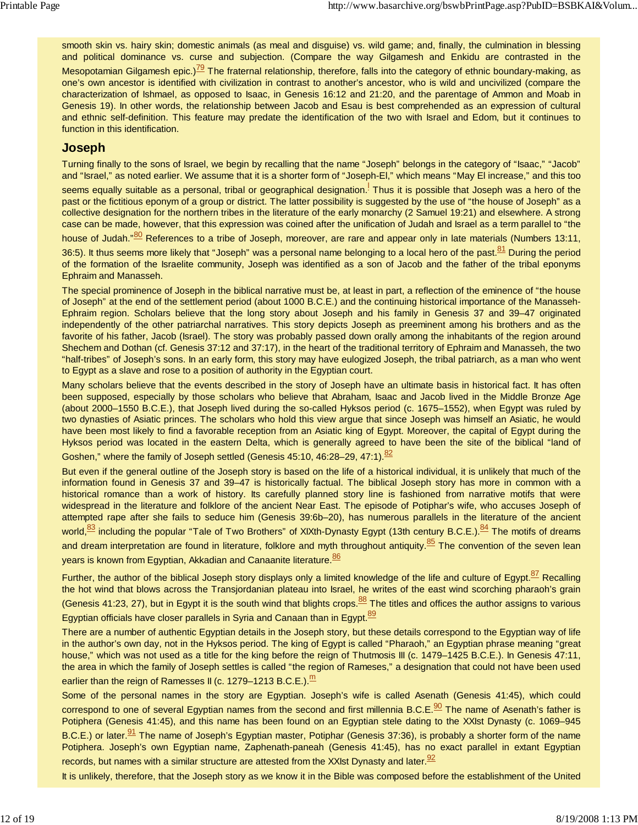smooth skin vs. hairy skin; domestic animals (as meal and disguise) vs. wild game; and, finally, the culmination in blessing and political dominance vs. curse and subjection. (Compare the way Gilgamesh and Enkidu are contrasted in the Mesopotamian Gilgamesh epic.)<sup>79</sup> The fraternal relationship, therefore, falls into the category of ethnic boundary-making, as one's own ancestor is identified with civilization in contrast to another's ancestor, who is wild and uncivilized (compare the characterization of Ishmael, as opposed to Isaac, in Genesis 16:12 and 21:20, and the parentage of Ammon and Moab in Genesis 19). In other words, the relationship between Jacob and Esau is best comprehended as an expression of cultural and ethnic self-definition. This feature may predate the identification of the two with Israel and Edom, but it continues to function in this identification.

### **Joseph**

Turning finally to the sons of Israel, we begin by recalling that the name "Joseph" belongs in the category of "Isaac," "Jacob" and "Israel," as noted earlier. We assume that it is a shorter form of "Joseph-El," which means "May El increase," and this too seems equally suitable as a personal, tribal or geographical designation.<sup>!</sup> Thus it is possible that Joseph was a hero of the past or the fictitious eponym of a group or district. The latter possibility is suggested by the use of "the house of Joseph" as a collective designation for the northern tribes in the literature of the early monarchy (2 Samuel 19:21) and elsewhere. A strong case can be made, however, that this expression was coined after the unification of Judah and Israel as a term parallel to "the

house of Judah."<sup>80</sup> References to a tribe of Joseph, moreover, are rare and appear only in late materials (Numbers 13:11, 36:5). It thus seems more likely that "Joseph" was a personal name belonging to a local hero of the past.<sup>81</sup> During the period of the formation of the Israelite community, Joseph was identified as a son of Jacob and the father of the tribal eponyms Ephraim and Manasseh.

The special prominence of Joseph in the biblical narrative must be, at least in part, a reflection of the eminence of "the house of Joseph" at the end of the settlement period (about 1000 B.C.E.) and the continuing historical importance of the Manasseh-Ephraim region. Scholars believe that the long story about Joseph and his family in Genesis 37 and 39–47 originated independently of the other patriarchal narratives. This story depicts Joseph as preeminent among his brothers and as the favorite of his father, Jacob (Israel). The story was probably passed down orally among the inhabitants of the region around Shechem and Dothan (cf. Genesis 37:12 and 37:17), in the heart of the traditional territory of Ephraim and Manasseh, the two "half-tribes" of Joseph's sons. In an early form, this story may have eulogized Joseph, the tribal patriarch, as a man who went to Egypt as a slave and rose to a position of authority in the Egyptian court.

Many scholars believe that the events described in the story of Joseph have an ultimate basis in historical fact. It has often been supposed, especially by those scholars who believe that Abraham, Isaac and Jacob lived in the Middle Bronze Age (about 2000–1550 B.C.E.), that Joseph lived during the so-called Hyksos period (c. 1675–1552), when Egypt was ruled by two dynasties of Asiatic princes. The scholars who hold this view argue that since Joseph was himself an Asiatic, he would have been most likely to find a favorable reception from an Asiatic king of Egypt. Moreover, the capital of Egypt during the Hyksos period was located in the eastern Delta, which is generally agreed to have been the site of the biblical "land of Goshen," where the family of Joseph settled (Genesis 45:10, 46:28-29, 47:1).<sup>82</sup>

But even if the general outline of the Joseph story is based on the life of a historical individual, it is unlikely that much of the information found in Genesis 37 and 39–47 is historically factual. The biblical Joseph story has more in common with a historical romance than a work of history. Its carefully planned story line is fashioned from narrative motifs that were widespread in the literature and folklore of the ancient Near East. The episode of Potiphar's wife, who accuses Joseph of attempted rape after she fails to seduce him (Genesis 39:6b–20), has numerous parallels in the literature of the ancient world,<sup>83</sup> including the popular "Tale of Two Brothers" of XIXth-Dynasty Egypt (13th century B.C.E.).<sup>84</sup> The motifs of dreams and dream interpretation are found in literature, folklore and myth throughout antiquity.<sup>85</sup> The convention of the seven lean years is known from Egyptian, Akkadian and Canaanite literature.<sup>86</sup>

Further, the author of the biblical Joseph story displays only a limited knowledge of the life and culture of Egypt.<sup>87</sup> Recalling the hot wind that blows across the Transjordanian plateau into Israel, he writes of the east wind scorching pharaoh's grain

(Genesis 41:23, 27), but in Egypt it is the south wind that blights crops. $88$  The titles and offices the author assigns to various Egyptian officials have closer parallels in Syria and Canaan than in Egypt.<sup>89</sup>

There are a number of authentic Egyptian details in the Joseph story, but these details correspond to the Egyptian way of life in the author's own day, not in the Hyksos period. The king of Egypt is called "Pharaoh," an Egyptian phrase meaning "great house," which was not used as a title for the king before the reign of Thutmosis III (c. 1479–1425 B.C.E.). In Genesis 47:11, the area in which the family of Joseph settles is called "the region of Rameses," a designation that could not have been used earlier than the reign of Ramesses II (c. 1279–1213 B.C.E.). $^{\underline{m}}$ 

Some of the personal names in the story are Egyptian. Joseph's wife is called Asenath (Genesis 41:45), which could correspond to one of several Egyptian names from the second and first millennia B.C.E.<sup>90</sup> The name of Asenath's father is Potiphera (Genesis 41:45), and this name has been found on an Egyptian stele dating to the XXIst Dynasty (c. 1069–945 B.C.E.) or later.<sup>91</sup> The name of Joseph's Egyptian master, Potiphar (Genesis 37:36), is probably a shorter form of the name Potiphera. Joseph's own Egyptian name, Zaphenath-paneah (Genesis 41:45), has no exact parallel in extant Egyptian records, but names with a similar structure are attested from the XXIst Dynasty and later. $92$ 

It is unlikely, therefore, that the Joseph story as we know it in the Bible was composed before the establishment of the United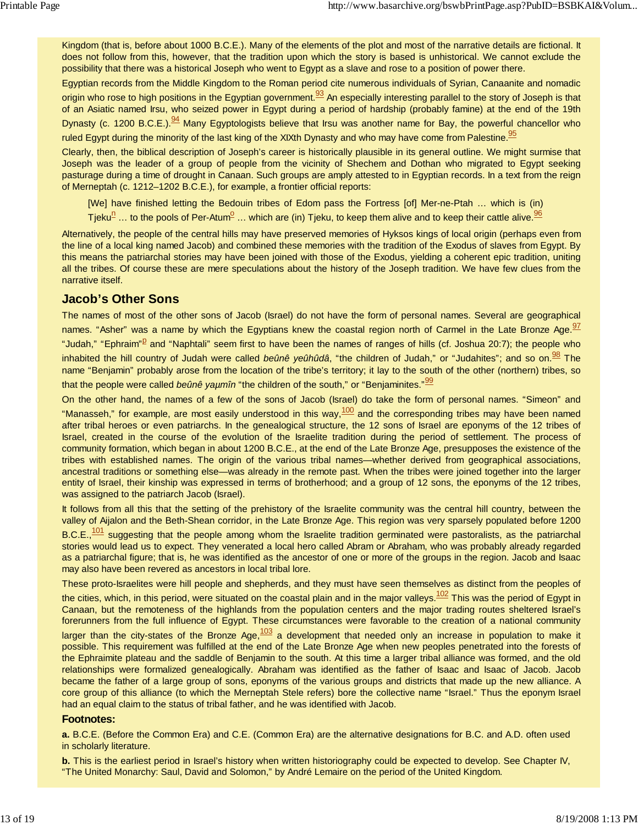Kingdom (that is, before about 1000 B.C.E.). Many of the elements of the plot and most of the narrative details are fictional. It does not follow from this, however, that the tradition upon which the story is based is unhistorical. We cannot exclude the possibility that there was a historical Joseph who went to Egypt as a slave and rose to a position of power there.

Egyptian records from the Middle Kingdom to the Roman period cite numerous individuals of Syrian, Canaanite and nomadic origin who rose to high positions in the Egyptian government.<sup>93</sup> An especially interesting parallel to the story of Joseph is that of an Asiatic named Irsu, who seized power in Egypt during a period of hardship (probably famine) at the end of the 19th Dynasty (c. 1200 B.C.E.).<sup>94</sup> Many Egyptologists believe that Irsu was another name for Bay, the powerful chancellor who ruled Egypt during the minority of the last king of the XIXth Dynasty and who may have come from Palestine.<sup>95</sup>

Clearly, then, the biblical description of Joseph's career is historically plausible in its general outline. We might surmise that Joseph was the leader of a group of people from the vicinity of Shechem and Dothan who migrated to Egypt seeking pasturage during a time of drought in Canaan. Such groups are amply attested to in Egyptian records. In a text from the reign of Merneptah (c. 1212–1202 B.C.E.), for example, a frontier official reports:

[We] have finished letting the Bedouin tribes of Edom pass the Fortress [of] Mer-ne-Ptah … which is (in)

Tjeku $^0$  ... to the pools of Per-Atum $^0$  ... which are (in) Tjeku, to keep them alive and to keep their cattle alive. $\frac{96}{}$ 

Alternatively, the people of the central hills may have preserved memories of Hyksos kings of local origin (perhaps even from the line of a local king named Jacob) and combined these memories with the tradition of the Exodus of slaves from Egypt. By this means the patriarchal stories may have been joined with those of the Exodus, yielding a coherent epic tradition, uniting all the tribes. Of course these are mere speculations about the history of the Joseph tradition. We have few clues from the narrative itself.

### **Jacob's Other Sons**

The names of most of the other sons of Jacob (Israel) do not have the form of personal names. Several are geographical names. "Asher" was a name by which the Egyptians knew the coastal region north of Carmel in the Late Bronze Age.  $\frac{97}{1}$ "Judah," "Ephraim"<sup>D</sup> and "Naphtali" seem first to have been the names of ranges of hills (cf. Joshua 20:7); the people who inhabited the hill country of Judah were called *beûnê yeûhûdâ*, "the children of Judah," or "Judahites"; and so on.<sup>98</sup> The name "Benjamin" probably arose from the location of the tribe's territory; it lay to the south of the other (northern) tribes, so that the people were called *beûnê yaµmîn* "the children of the south," or "Benjaminites."<sup>99</sup>

On the other hand, the names of a few of the sons of Jacob (Israel) do take the form of personal names. "Simeon" and "Manasseh," for example, are most easily understood in this way, $\frac{100}{2}$  and the corresponding tribes may have been named after tribal heroes or even patriarchs. In the genealogical structure, the 12 sons of Israel are eponyms of the 12 tribes of Israel, created in the course of the evolution of the Israelite tradition during the period of settlement. The process of community formation, which began in about 1200 B.C.E., at the end of the Late Bronze Age, presupposes the existence of the tribes with established names. The origin of the various tribal names—whether derived from geographical associations, ancestral traditions or something else—was already in the remote past. When the tribes were joined together into the larger entity of Israel, their kinship was expressed in terms of brotherhood; and a group of 12 sons, the eponyms of the 12 tribes, was assigned to the patriarch Jacob (Israel).

It follows from all this that the setting of the prehistory of the Israelite community was the central hill country, between the valley of Aijalon and the Beth-Shean corridor, in the Late Bronze Age. This region was very sparsely populated before 1200

B.C.E.,<sup>101</sup> suggesting that the people among whom the Israelite tradition germinated were pastoralists, as the patriarchal stories would lead us to expect. They venerated a local hero called Abram or Abraham, who was probably already regarded as a patriarchal figure; that is, he was identified as the ancestor of one or more of the groups in the region. Jacob and Isaac may also have been revered as ancestors in local tribal lore.

These proto-Israelites were hill people and shepherds, and they must have seen themselves as distinct from the peoples of

the cities, which, in this period, were situated on the coastal plain and in the major valleys.<sup>102</sup> This was the period of Egypt in Canaan, but the remoteness of the highlands from the population centers and the major trading routes sheltered Israel's forerunners from the full influence of Egypt. These circumstances were favorable to the creation of a national community larger than the city-states of the Bronze Age, $\frac{103}{2}$  a development that needed only an increase in population to make it possible. This requirement was fulfilled at the end of the Late Bronze Age when new peoples penetrated into the forests of the Ephraimite plateau and the saddle of Benjamin to the south. At this time a larger tribal alliance was formed, and the old relationships were formalized genealogically. Abraham was identified as the father of Isaac and Isaac of Jacob. Jacob became the father of a large group of sons, eponyms of the various groups and districts that made up the new alliance. A core group of this alliance (to which the Merneptah Stele refers) bore the collective name "Israel." Thus the eponym Israel had an equal claim to the status of tribal father, and he was identified with Jacob.

#### **Footnotes:**

**a.** B.C.E. (Before the Common Era) and C.E. (Common Era) are the alternative designations for B.C. and A.D. often used in scholarly literature.

**b.** This is the earliest period in Israel's history when written historiography could be expected to develop. See Chapter IV, "The United Monarchy: Saul, David and Solomon," by André Lemaire on the period of the United Kingdom.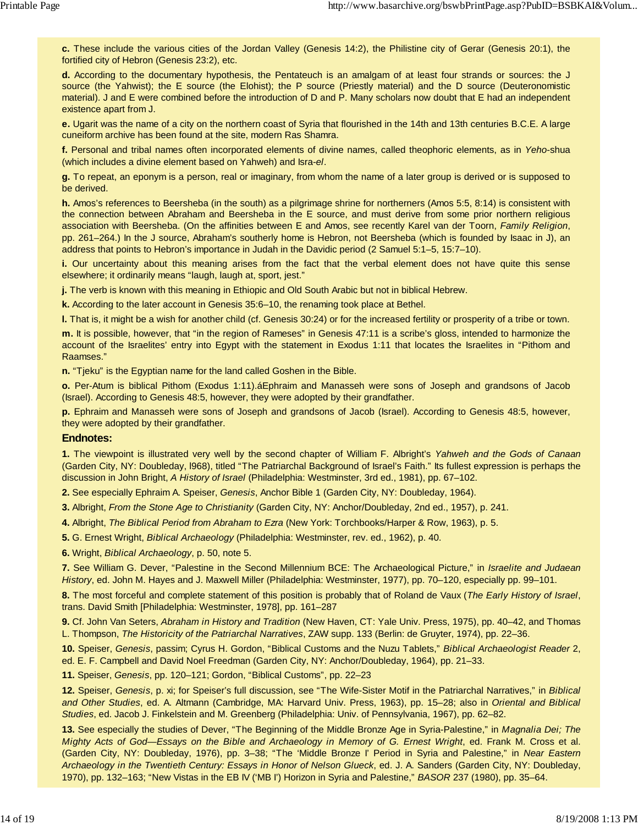**c.** These include the various cities of the Jordan Valley (Genesis 14:2), the Philistine city of Gerar (Genesis 20:1), the fortified city of Hebron (Genesis 23:2), etc.

**d.** According to the documentary hypothesis, the Pentateuch is an amalgam of at least four strands or sources: the J source (the Yahwist); the E source (the Elohist); the P source (Priestly material) and the D source (Deuteronomistic material). J and E were combined before the introduction of D and P. Many scholars now doubt that E had an independent existence apart from J.

**e.** Ugarit was the name of a city on the northern coast of Syria that flourished in the 14th and 13th centuries B.C.E. A large cuneiform archive has been found at the site, modern Ras Shamra.

**f.** Personal and tribal names often incorporated elements of divine names, called theophoric elements, as in *Yeho*-shua (which includes a divine element based on Yahweh) and Isra-*el*.

**g.** To repeat, an eponym is a person, real or imaginary, from whom the name of a later group is derived or is supposed to be derived.

**h.** Amos's references to Beersheba (in the south) as a pilgrimage shrine for northerners (Amos 5:5, 8:14) is consistent with the connection between Abraham and Beersheba in the E source, and must derive from some prior northern religious association with Beersheba. (On the affinities between E and Amos, see recently Karel van der Toorn, *Family Religion*, pp. 261–264.) In the J source, Abraham's southerly home is Hebron, not Beersheba (which is founded by Isaac in J), an address that points to Hebron's importance in Judah in the Davidic period (2 Samuel 5:1–5, 15:7–10).

**i.** Our uncertainty about this meaning arises from the fact that the verbal element does not have quite this sense elsewhere; it ordinarily means "laugh, laugh at, sport, jest."

**j.** The verb is known with this meaning in Ethiopic and Old South Arabic but not in biblical Hebrew.

**k.** According to the later account in Genesis 35:6–10, the renaming took place at Bethel.

**l.** That is, it might be a wish for another child (cf. Genesis 30:24) or for the increased fertility or prosperity of a tribe or town.

**m.** It is possible, however, that "in the region of Rameses" in Genesis 47:11 is a scribe's gloss, intended to harmonize the account of the Israelites' entry into Egypt with the statement in Exodus 1:11 that locates the Israelites in "Pithom and Raamses."

**n.** "Tjeku" is the Egyptian name for the land called Goshen in the Bible.

**o.** Per-Atum is biblical Pithom (Exodus 1:11).áEphraim and Manasseh were sons of Joseph and grandsons of Jacob (Israel). According to Genesis 48:5, however, they were adopted by their grandfather.

**p.** Ephraim and Manasseh were sons of Joseph and grandsons of Jacob (Israel). According to Genesis 48:5, however, they were adopted by their grandfather.

#### **Endnotes:**

**1.** The viewpoint is illustrated very well by the second chapter of William F. Albright's *Yahweh and the Gods of Canaan* (Garden City, NY: Doubleday, l968), titled "The Patriarchal Background of Israel's Faith." Its fullest expression is perhaps the discussion in John Bright, *A History of Israel* (Philadelphia: Westminster, 3rd ed., 1981), pp. 67–102.

**2.** See especially Ephraim A. Speiser, *Genesis*, Anchor Bible 1 (Garden City, NY: Doubleday, 1964).

**3.** Albright, *From the Stone Age to Christianity* (Garden City, NY: Anchor/Doubleday, 2nd ed., 1957), p. 241.

**4.** Albright, *The Biblical Period from Abraham to Ezra* (New York: Torchbooks/Harper & Row, 1963), p. 5.

**5.** G. Ernest Wright, *Biblical Archaeology* (Philadelphia: Westminster, rev. ed., 1962), p. 40.

**6.** Wright, *Biblical Archaeology*, p. 50, note 5.

**7.** See William G. Dever, "Palestine in the Second Millennium BCE: The Archaeological Picture," in *Israelite and Judaean History*, ed. John M. Hayes and J. Maxwell Miller (Philadelphia: Westminster, 1977), pp. 70–120, especially pp. 99–101.

**8.** The most forceful and complete statement of this position is probably that of Roland de Vaux (*The Early History of Israel*, trans. David Smith [Philadelphia: Westminster, 1978], pp. 161–287

**9.** Cf. John Van Seters, *Abraham in History and Tradition* (New Haven, CT: Yale Univ. Press, 1975), pp. 40–42, and Thomas L. Thompson, *The Historicity of the Patriarchal Narratives*, ZAW supp. 133 (Berlin: de Gruyter, 1974), pp. 22–36.

**10.** Speiser, *Genesis*, passim; Cyrus H. Gordon, "Biblical Customs and the Nuzu Tablets," *Biblical Archaeologist Reader* 2, ed. E. F. Campbell and David Noel Freedman (Garden City, NY: Anchor/Doubleday, 1964), pp. 21–33.

**11.** Speiser, *Genesis*, pp. 120–121; Gordon, "Biblical Customs", pp. 22–23

**12.** Speiser, *Genesis*, p. xi; for Speiser's full discussion, see "The Wife-Sister Motif in the Patriarchal Narratives," in *Biblical and Other Studies*, ed. A. Altmann (Cambridge, MA: Harvard Univ. Press, 1963), pp. 15–28; also in *Oriental and Biblical Studies*, ed. Jacob J. Finkelstein and M. Greenberg (Philadelphia: Univ. of Pennsylvania, 1967), pp. 62–82.

**13.** See especially the studies of Dever, "The Beginning of the Middle Bronze Age in Syria-Palestine," in *Magnalia Dei; The Mighty Acts of God—Essays on the Bible and Archaeology in Memory of G. Ernest Wright*, ed. Frank M. Cross et al. (Garden City, NY: Doubleday, 1976), pp. 3–38; "The 'Middle Bronze I' Period in Syria and Palestine," in *Near Eastern Archaeology in the Twentieth Century: Essays in Honor of Nelson Glueck*, ed. J. A. Sanders (Garden City, NY: Doubleday, 1970), pp. 132–163; "New Vistas in the EB IV ('MB I') Horizon in Syria and Palestine," *BASOR* 237 (1980), pp. 35–64.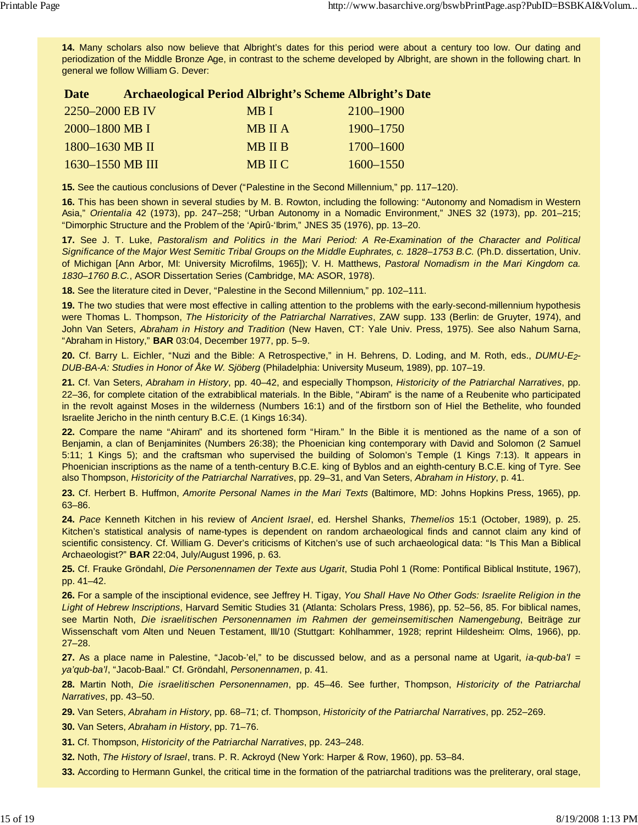**14.** Many scholars also now believe that Albright's dates for this period were about a century too low. Our dating and periodization of the Middle Bronze Age, in contrast to the scheme developed by Albright, are shown in the following chart. In general we follow William G. Dever:

| <b>Date</b>      | <b>Archaeological Period Albright's Scheme Albright's Date</b> |                       |               |
|------------------|----------------------------------------------------------------|-----------------------|---------------|
| 2250-2000 EB IV  |                                                                | <b>MB</b> I           | 2100-1900     |
| 2000-1800 MB I   |                                                                | <b>MB</b> II A        | 1900-1750     |
| 1800-1630 MB II  |                                                                | <b>MB</b> II <b>B</b> | 1700-1600     |
| 1630-1550 MB III |                                                                | MB II C               | $1600 - 1550$ |

**15.** See the cautious conclusions of Dever ("Palestine in the Second Millennium," pp. 117–120).

**16.** This has been shown in several studies by M. B. Rowton, including the following: "Autonomy and Nomadism in Western Asia," *Orientalia* 42 (1973), pp. 247–258; "Urban Autonomy in a Nomadic Environment," JNES 32 (1973), pp. 201–215; "Dimorphic Structure and the Problem of the 'Apirû-'Ibrim," JNES 35 (1976), pp. 13–20.

**17.** See J. T. Luke, *Pastoralism and Politics in the Mari Period: A Re-Examination of the Character and Political Significance of the Major West Semitic Tribal Groups on the Middle Euphrates, c. 1828–1753 B.C.* (Ph.D. dissertation, Univ. of Michigan [Ann Arbor, MI: University Microfilms, 1965]); V. H. Matthews, *Pastoral Nomadism in the Mari Kingdom ca. 1830–1760 B.C.*, ASOR Dissertation Series (Cambridge, MA: ASOR, 1978).

**18.** See the literature cited in Dever, "Palestine in the Second Millennium," pp. 102–111.

**19.** The two studies that were most effective in calling attention to the problems with the early-second-millennium hypothesis were Thomas L. Thompson, *The Historicity of the Patriarchal Narratives*, ZAW supp. 133 (Berlin: de Gruyter, 1974), and John Van Seters, *Abraham in History and Tradition* (New Haven, CT: Yale Univ. Press, 1975). See also Nahum Sarna, "Abraham in History," **BAR** 03:04, December 1977, pp. 5–9.

**20.** Cf. Barry L. Eichler, "Nuzi and the Bible: A Retrospective," in H. Behrens, D. Loding, and M. Roth, eds., *DUMU-E2- DUB-BA-A: Studies in Honor of Åke W. Sjöberg* (Philadelphia: University Museum, 1989), pp. 107–19.

**21.** Cf. Van Seters, *Abraham in History*, pp. 40–42, and especially Thompson, *Historicity of the Patriarchal Narratives*, pp. 22–36, for complete citation of the extrabiblical materials. In the Bible, "Abiram" is the name of a Reubenite who participated in the revolt against Moses in the wilderness (Numbers 16:1) and of the firstborn son of Hiel the Bethelite, who founded Israelite Jericho in the ninth century B.C.E. (1 Kings 16:34).

**22.** Compare the name "Ahiram" and its shortened form "Hiram." In the Bible it is mentioned as the name of a son of Benjamin, a clan of Benjaminites (Numbers 26:38); the Phoenician king contemporary with David and Solomon (2 Samuel 5:11; 1 Kings 5); and the craftsman who supervised the building of Solomon's Temple (1 Kings 7:13). It appears in Phoenician inscriptions as the name of a tenth-century B.C.E. king of Byblos and an eighth-century B.C.E. king of Tyre. See also Thompson, *Historicity of the Patriarchal Narratives*, pp. 29–31, and Van Seters, *Abraham in History*, p. 41.

**23.** Cf. Herbert B. Huffmon, *Amorite Personal Names in the Mari Texts* (Baltimore, MD: Johns Hopkins Press, 1965), pp. 63–86.

**24.** *Pace* Kenneth Kitchen in his review of *Ancient Israel*, ed. Hershel Shanks, *Themelios* 15:1 (October, 1989), p. 25. Kitchen's statistical analysis of name-types is dependent on random archaeological finds and cannot claim any kind of scientific consistency. Cf. William G. Dever's criticisms of Kitchen's use of such archaeological data: "Is This Man a Biblical Archaeologist?" **BAR** 22:04, July/August 1996, p. 63.

**25.** Cf. Frauke Gröndahl, *Die Personennamen der Texte aus Ugarit*, Studia Pohl 1 (Rome: Pontifical Biblical Institute, 1967), pp. 41–42.

**26.** For a sample of the insciptional evidence, see Jeffrey H. Tigay, *You Shall Have No Other Gods: Israelite Religion in the Light of Hebrew Inscriptions*, Harvard Semitic Studies 31 (Atlanta: Scholars Press, 1986), pp. 52–56, 85. For biblical names, see Martin Noth, *Die israelitischen Personennamen im Rahmen der gemeinsemitischen Namengebung*, Beiträge zur Wissenschaft vom Alten und Neuen Testament, III/10 (Stuttgart: Kohlhammer, 1928; reprint Hildesheim: Olms, 1966), pp. 27–28.

**27.** As a place name in Palestine, "Jacob-'el," to be discussed below, and as a personal name at Ugarit, *ia-qub-ba'l* = *ya'qub-ba'l*, "Jacob-Baal." Cf. Gröndahl, *Personennamen*, p. 41.

**28.** Martin Noth, *Die israelitischen Personennamen*, pp. 45–46. See further, Thompson, *Historicity of the Patriarchal Narratives*, pp. 43–50.

**29.** Van Seters, *Abraham in History*, pp. 68–71; cf. Thompson, *Historicity of the Patriarchal Narratives*, pp. 252–269.

**30.** Van Seters, *Abraham in History*, pp. 71–76.

**31.** Cf. Thompson, *Historicity of the Patriarchal Narratives*, pp. 243–248.

**32.** Noth, *The History of Israel*, trans. P. R. Ackroyd (New York: Harper & Row, 1960), pp. 53–84.

**33.** According to Hermann Gunkel, the critical time in the formation of the patriarchal traditions was the preliterary, oral stage,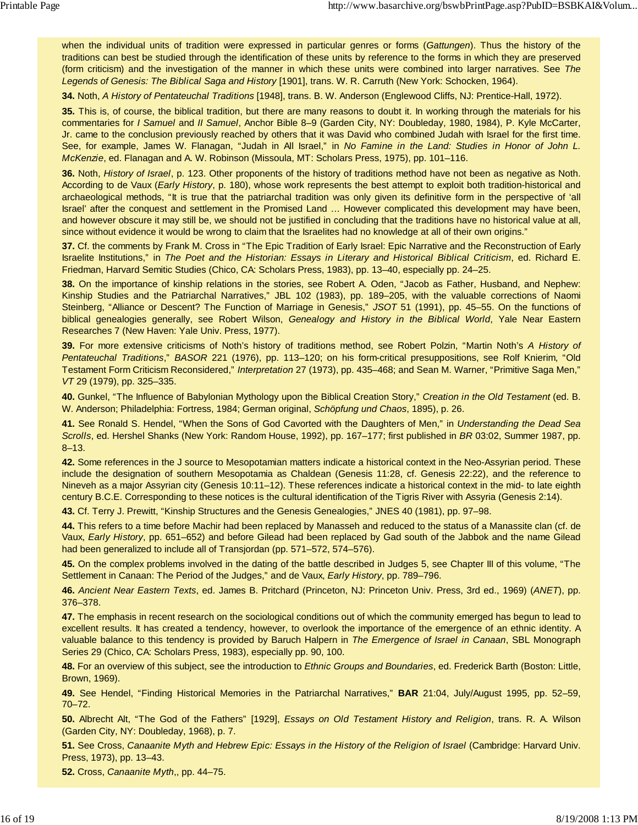when the individual units of tradition were expressed in particular genres or forms (*Gattungen*). Thus the history of the traditions can best be studied through the identification of these units by reference to the forms in which they are preserved (form criticism) and the investigation of the manner in which these units were combined into larger narratives. See *The Legends of Genesis: The Biblical Saga and History* [1901], trans. W. R. Carruth (New York: Schocken, 1964).

**34.** Noth, *A History of Pentateuchal Traditions* [1948], trans. B. W. Anderson (Englewood Cliffs, NJ: Prentice-Hall, 1972).

**35.** This is, of course, the biblical tradition, but there are many reasons to doubt it. In working through the materials for his commentaries for *I Samuel* and *II Samuel*, Anchor Bible 8–9 (Garden City, NY: Doubleday, 1980, 1984), P. Kyle McCarter, Jr. came to the conclusion previously reached by others that it was David who combined Judah with Israel for the first time. See, for example, James W. Flanagan, "Judah in All Israel," in *No Famine in the Land: Studies in Honor of John L. McKenzie*, ed. Flanagan and A. W. Robinson (Missoula, MT: Scholars Press, 1975), pp. 101–116.

**36.** Noth, *History of Israel*, p. 123. Other proponents of the history of traditions method have not been as negative as Noth. According to de Vaux (*Early History*, p. 180), whose work represents the best attempt to exploit both tradition-historical and archaeological methods, "It is true that the patriarchal tradition was only given its definitive form in the perspective of 'all Israel' after the conquest and settlement in the Promised Land … However complicated this development may have been, and however obscure it may still be, we should not be justified in concluding that the traditions have no historical value at all, since without evidence it would be wrong to claim that the Israelites had no knowledge at all of their own origins."

**37.** Cf. the comments by Frank M. Cross in "The Epic Tradition of Early Israel: Epic Narrative and the Reconstruction of Early Israelite Institutions," in *The Poet and the Historian: Essays in Literary and Historical Biblical Criticism*, ed. Richard E. Friedman, Harvard Semitic Studies (Chico, CA: Scholars Press, 1983), pp. 13–40, especially pp. 24–25.

**38.** On the importance of kinship relations in the stories, see Robert A. Oden, "Jacob as Father, Husband, and Nephew: Kinship Studies and the Patriarchal Narratives," JBL 102 (1983), pp. 189–205, with the valuable corrections of Naomi Steinberg, "Alliance or Descent? The Function of Marriage in Genesis," *JSOT* 51 (1991), pp. 45–55. On the functions of biblical genealogies generally, see Robert Wilson, *Genealogy and History in the Biblical World*, Yale Near Eastern Researches 7 (New Haven: Yale Univ. Press, 1977).

**39.** For more extensive criticisms of Noth's history of traditions method, see Robert Polzin, "Martin Noth's *A History of Pentateuchal Traditions*," *BASOR* 221 (1976), pp. 113–120; on his form-critical presuppositions, see Rolf Knierim, "Old Testament Form Criticism Reconsidered," *Interpretation* 27 (1973), pp. 435–468; and Sean M. Warner, "Primitive Saga Men," *VT* 29 (1979), pp. 325–335.

**40.** Gunkel, "The Influence of Babylonian Mythology upon the Biblical Creation Story," *Creation in the Old Testament* (ed. B. W. Anderson; Philadelphia: Fortress, 1984; German original, *Schöpfung und Chaos*, 1895), p. 26.

**41.** See Ronald S. Hendel, "When the Sons of God Cavorted with the Daughters of Men," in *Understanding the Dead Sea Scrolls*, ed. Hershel Shanks (New York: Random House, 1992), pp. 167–177; first published in *BR* 03:02, Summer 1987, pp. 8–13.

**42.** Some references in the J source to Mesopotamian matters indicate a historical context in the Neo-Assyrian period. These include the designation of southern Mesopotamia as Chaldean (Genesis 11:28, cf. Genesis 22:22), and the reference to Nineveh as a major Assyrian city (Genesis 10:11–12). These references indicate a historical context in the mid- to late eighth century B.C.E. Corresponding to these notices is the cultural identification of the Tigris River with Assyria (Genesis 2:14).

**43.** Cf. Terry J. Prewitt, "Kinship Structures and the Genesis Genealogies," JNES 40 (1981), pp. 97–98.

**44.** This refers to a time before Machir had been replaced by Manasseh and reduced to the status of a Manassite clan (cf. de Vaux, *Early History*, pp. 651–652) and before Gilead had been replaced by Gad south of the Jabbok and the name Gilead had been generalized to include all of Transjordan (pp. 571–572, 574–576).

**45.** On the complex problems involved in the dating of the battle described in Judges 5, see Chapter III of this volume, "The Settlement in Canaan: The Period of the Judges," and de Vaux, *Early History*, pp. 789–796.

**46.** *Ancient Near Eastern Texts*, ed. James B. Pritchard (Princeton, NJ: Princeton Univ. Press, 3rd ed., 1969) (*ANET*), pp. 376–378.

**47.** The emphasis in recent research on the sociological conditions out of which the community emerged has begun to lead to excellent results. It has created a tendency, however, to overlook the importance of the emergence of an ethnic identity. A valuable balance to this tendency is provided by Baruch Halpern in *The Emergence of Israel in Canaan*, SBL Monograph Series 29 (Chico, CA: Scholars Press, 1983), especially pp. 90, 100.

**48.** For an overview of this subject, see the introduction to *Ethnic Groups and Boundaries*, ed. Frederick Barth (Boston: Little, Brown, 1969).

**49.** See Hendel, "Finding Historical Memories in the Patriarchal Narratives," **BAR** 21:04, July/August 1995, pp. 52–59, 70–72.

**50.** Albrecht Alt, "The God of the Fathers" [1929], *Essays on Old Testament History and Religion*, trans. R. A. Wilson (Garden City, NY: Doubleday, 1968), p. 7.

**51.** See Cross, *Canaanite Myth and Hebrew Epic: Essays in the History of the Religion of Israel* (Cambridge: Harvard Univ. Press, 1973), pp. 13–43.

**52.** Cross, *Canaanite Myth*,, pp. 44–75.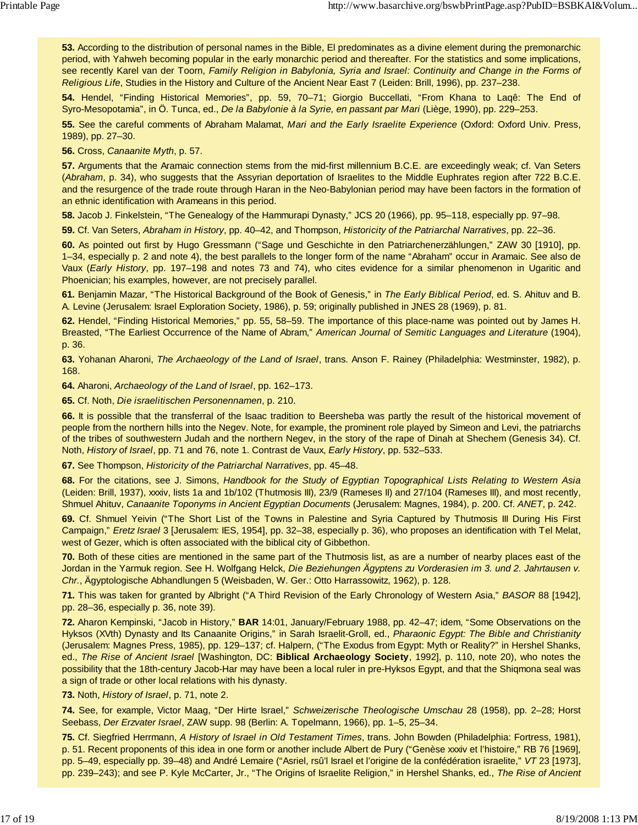**53.** According to the distribution of personal names in the Bible, El predominates as a divine element during the premonarchic period, with Yahweh becoming popular in the early monarchic period and thereafter. For the statistics and some implications, see recently Karel van der Toorn, *Family Religion in Babylonia, Syria and Israel: Continuity and Change in the Forms of Religious Life*, Studies in the History and Culture of the Ancient Near East 7 (Leiden: Brill, 1996), pp. 237–238.

**54.** Hendel, "Finding Historical Memories", pp. 59, 70–71; Giorgio Buccellati, "From Khana to Laqê: The End of Syro-Mesopotamia", in Ö. Tunca, ed., *De la Babylonie à la Syrie, en passant par Mari* (Liège, 1990), pp. 229–253.

**55.** See the careful comments of Abraham Malamat, *Mari and the Early Israelite Experience* (Oxford: Oxford Univ. Press, 1989), pp. 27–30.

**56.** Cross, *Canaanite Myth*, p. 57.

**57.** Arguments that the Aramaic connection stems from the mid-first millennium B.C.E. are exceedingly weak; cf. Van Seters (*Abraham*, p. 34), who suggests that the Assyrian deportation of Israelites to the Middle Euphrates region after 722 B.C.E. and the resurgence of the trade route through Haran in the Neo-Babylonian period may have been factors in the formation of an ethnic identification with Arameans in this period.

**58.** Jacob J. Finkelstein, "The Genealogy of the Hammurapi Dynasty," JCS 20 (1966), pp. 95–118, especially pp. 97–98.

**59.** Cf. Van Seters, *Abraham in History*, pp. 40–42, and Thompson, *Historicity of the Patriarchal Narratives*, pp. 22–36.

**60.** As pointed out first by Hugo Gressmann ("Sage und Geschichte in den Patriarchenerzählungen," ZAW 30 [1910], pp. 1–34, especially p. 2 and note 4), the best parallels to the longer form of the name "Abraham" occur in Aramaic. See also de Vaux (*Early History*, pp. 197–198 and notes 73 and 74), who cites evidence for a similar phenomenon in Ugaritic and Phoenician; his examples, however, are not precisely parallel.

**61.** Benjamin Mazar, "The Historical Background of the Book of Genesis," in *The Early Biblical Period*, ed. S. Ahituv and B. A. Levine (Jerusalem: Israel Exploration Society, 1986), p. 59; originally published in JNES 28 (1969), p. 81.

**62.** Hendel, "Finding Historical Memories," pp. 55, 58–59. The importance of this place-name was pointed out by James H. Breasted, "The Earliest Occurrence of the Name of Abram," *American Journal of Semitic Languages and Literature* (1904), p. 36.

**63.** Yohanan Aharoni, *The Archaeology of the Land of Israel*, trans. Anson F. Rainey (Philadelphia: Westminster, 1982), p. 168.

**64.** Aharoni, *Archaeology of the Land of Israel*, pp. 162–173.

**65.** Cf. Noth, *Die israelitischen Personennamen*, p. 210.

**66.** It is possible that the transferral of the Isaac tradition to Beersheba was partly the result of the historical movement of people from the northern hills into the Negev. Note, for example, the prominent role played by Simeon and Levi, the patriarchs of the tribes of southwestern Judah and the northern Negev, in the story of the rape of Dinah at Shechem (Genesis 34). Cf. Noth, *History of Israel*, pp. 71 and 76, note 1. Contrast de Vaux, *Early History*, pp. 532–533.

**67.** See Thompson, *Historicity of the Patriarchal Narratives*, pp. 45–48.

**68.** For the citations, see J. Simons, *Handbook for the Study of Egyptian Topographical Lists Relating to Western Asia* (Leiden: Brill, 1937), xxxiv, lists 1a and 1b/102 (Thutmosis III), 23/9 (Rameses II) and 27/104 (Rameses III), and most recently, Shmuel Ahituv, *Canaanite Toponyms in Ancient Egyptian Documents* (Jerusalem: Magnes, 1984), p. 200. Cf. *ANET*, p. 242.

**69.** Cf. Shmuel Yeivin ("The Short List of the Towns in Palestine and Syria Captured by Thutmosis III During His First Campaign," *Eretz Israel* 3 [Jerusalem: IES, 1954], pp. 32–38, especially p. 36), who proposes an identification with Tel Melat, west of Gezer, which is often associated with the biblical city of Gibbethon.

**70.** Both of these cities are mentioned in the same part of the Thutmosis list, as are a number of nearby places east of the Jordan in the Yarmuk region. See H. Wolfgang Helck, *Die Beziehungen Ägyptens zu Vorderasien im 3. und 2. Jahrtausen v. Chr.*, Ägyptologische Abhandlungen 5 (Weisbaden, W. Ger.: Otto Harrassowitz, 1962), p. 128.

**71.** This was taken for granted by Albright ("A Third Revision of the Early Chronology of Western Asia," *BASOR* 88 [1942], pp. 28–36, especially p. 36, note 39).

**72.** Aharon Kempinski, "Jacob in History," **BAR** 14:01, January/February 1988, pp. 42–47; idem, "Some Observations on the Hyksos (XVth) Dynasty and Its Canaanite Origins," in Sarah Israelit-Groll, ed., *Pharaonic Egypt: The Bible and Christianity* (Jerusalem: Magnes Press, 1985), pp. 129–137; cf. Halpern, ("The Exodus from Egypt: Myth or Reality?" in Hershel Shanks, ed., *The Rise of Ancient Israel* [Washington, DC: **Biblical Archaeology Society**, 1992], p. 110, note 20), who notes the possibility that the 18th-century Jacob-Har may have been a local ruler in pre-Hyksos Egypt, and that the Shiqmona seal was a sign of trade or other local relations with his dynasty.

**73.** Noth, *History of Israel*, p. 71, note 2.

**74.** See, for example, Victor Maag, "Der Hirte Israel," *Schweizerische Theologische Umschau* 28 (1958), pp. 2–28; Horst Seebass, *Der Erzvater Israel*, ZAW supp. 98 (Berlin: A. Topelmann, 1966), pp. 1–5, 25–34.

**75.** Cf. Siegfried Herrmann, *A History of Israel in Old Testament Times*, trans. John Bowden (Philadelphia: Fortress, 1981), p. 51. Recent proponents of this idea in one form or another include Albert de Pury ("Genèse xxxiv et l'histoire," RB 76 [1969], pp. 5–49, especially pp. 39–48) and André Lemaire ("Asriel, rsû'l Israel et l'origine de la confédération israelite," *VT* 23 [1973], pp. 239–243); and see P. Kyle McCarter, Jr., "The Origins of Israelite Religion," in Hershel Shanks, ed., *The Rise of Ancient*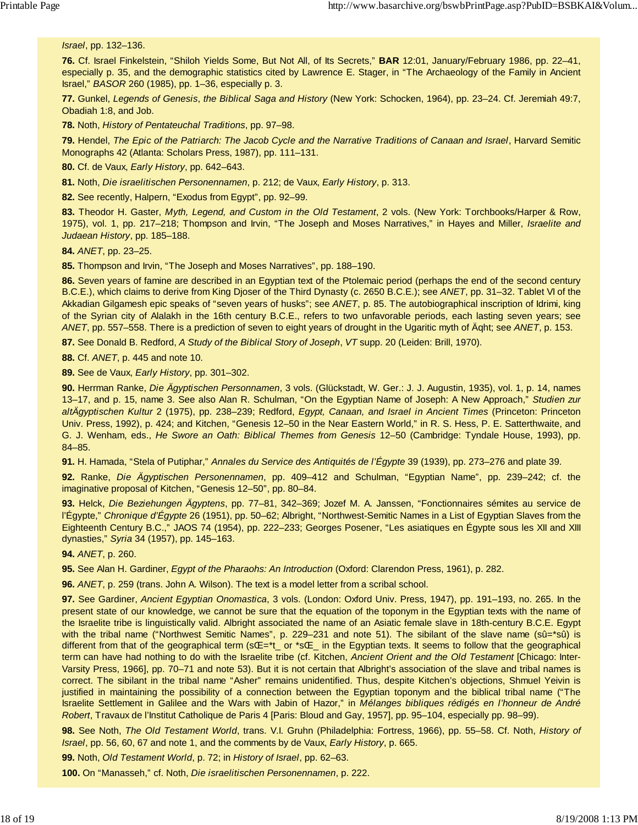*Israel*, pp. 132–136.

**76.** Cf. Israel Finkelstein, "Shiloh Yields Some, But Not All, of Its Secrets," **BAR** 12:01, January/February 1986, pp. 22–41, especially p. 35, and the demographic statistics cited by Lawrence E. Stager, in "The Archaeology of the Family in Ancient Israel," *BASOR* 260 (1985), pp. 1–36, especially p. 3.

**77.** Gunkel, *Legends of Genesis*, *the Biblical Saga and History* (New York: Schocken, 1964), pp. 23–24. Cf. Jeremiah 49:7, Obadiah 1:8, and Job.

**78.** Noth, *History of Pentateuchal Traditions*, pp. 97–98.

**79.** Hendel, *The Epic of the Patriarch: The Jacob Cycle and the Narrative Traditions of Canaan and Israel*, Harvard Semitic Monographs 42 (Atlanta: Scholars Press, 1987), pp. 111–131.

**80.** Cf. de Vaux, *Early History*, pp. 642–643.

**81.** Noth, *Die israelitischen Personennamen*, p. 212; de Vaux, *Early History*, p. 313.

**82.** See recently, Halpern, "Exodus from Egypt", pp. 92–99.

**83.** Theodor H. Gaster, *Myth, Legend, and Custom in the Old Testament*, 2 vols. (New York: Torchbooks/Harper & Row, 1975), vol. 1, pp. 217–218; Thompson and Irvin, "The Joseph and Moses Narratives," in Hayes and Miller, *Israelite and Judaean History*, pp. 185–188.

**84.** *ANET*, pp. 23–25.

**85.** Thompson and Irvin, "The Joseph and Moses Narratives", pp. 188–190.

**86.** Seven years of famine are described in an Egyptian text of the Ptolemaic period (perhaps the end of the second century B.C.E.), which claims to derive from King Djoser of the Third Dynasty (c. 2650 B.C.E.); see *ANET*, pp. 31–32. Tablet VI of the Akkadian Gilgamesh epic speaks of "seven years of husks"; see *ANET*, p. 85. The autobiographical inscription of Idrimi, king of the Syrian city of Alalakh in the 16th century B.C.E., refers to two unfavorable periods, each lasting seven years; see *ANET*, pp. 557–558. There is a prediction of seven to eight years of drought in the Ugaritic myth of Äqht; see *ANET*, p. 153.

**87.** See Donald B. Redford, *A Study of the Biblical Story of Joseph*, *VT* supp. 20 (Leiden: Brill, 1970).

**88.** Cf. *ANET*, p. 445 and note 10.

**89.** See de Vaux, *Early History*, pp. 301–302.

**90.** Herrman Ranke, *Die Ägyptischen Personnamen*, 3 vols. (Glückstadt, W. Ger.: J. J. Augustin, 1935), vol. 1, p. 14, names 13–17, and p. 15, name 3. See also Alan R. Schulman, "On the Egyptian Name of Joseph: A New Approach," *Studien zur altÄgyptischen Kultur* 2 (1975), pp. 238–239; Redford, *Egypt, Canaan, and Israel in Ancient Times* (Princeton: Princeton Univ. Press, 1992), p. 424; and Kitchen, "Genesis 12–50 in the Near Eastern World," in R. S. Hess, P. E. Satterthwaite, and G. J. Wenham, eds., *He Swore an Oath: Biblical Themes from Genesis* 12–50 (Cambridge: Tyndale House, 1993), pp. 84–85.

**91.** H. Hamada, "Stela of Putiphar," *Annales du Service des Antiquités de l'Égypte* 39 (1939), pp. 273–276 and plate 39.

**92.** Ranke, *Die Ägyptischen Personennamen*, pp. 409–412 and Schulman, "Egyptian Name", pp. 239–242; cf. the imaginative proposal of Kitchen, "Genesis 12–50", pp. 80–84.

**93.** Helck, *Die Beziehungen Ägyptens*, pp. 77–81, 342–369; Jozef M. A. Janssen, "Fonctionnaires sémites au service de l'Égypte," *Chronique d'Égypte* 26 (1951), pp. 50–62; Albright, "Northwest-Semitic Names in a List of Egyptian Slaves from the Eighteenth Century B.C.," JAOS 74 (1954), pp. 222–233; Georges Posener, "Les asiatiques en Égypte sous les XII and XIII dynasties," *Syria* 34 (1957), pp. 145–163.

**94.** *ANET*, p. 260.

**95.** See Alan H. Gardiner, *Egypt of the Pharaohs: An Introduction* (Oxford: Clarendon Press, 1961), p. 282.

**96.** *ANET*, p. 259 (trans. John A. Wilson). The text is a model letter from a scribal school.

**97.** See Gardiner, *Ancient Egyptian Onomastica*, 3 vols. (London: Oxford Univ. Press, 1947), pp. 191–193, no. 265. In the present state of our knowledge, we cannot be sure that the equation of the toponym in the Egyptian texts with the name of the Israelite tribe is linguistically valid. Albright associated the name of an Asiatic female slave in 18th-century B.C.E. Egypt with the tribal name ("Northwest Semitic Names", p. 229–231 and note 51). The sibilant of the slave name (sû=\*sû) is different from that of the geographical term (sŒ=\*t\_ or \*sŒ\_ in the Egyptian texts. It seems to follow that the geographical term can have had nothing to do with the Israelite tribe (cf. Kitchen, *Ancient Orient and the Old Testament* [Chicago: Inter-Varsity Press, 1966], pp. 70–71 and note 53). But it is not certain that Albright's association of the slave and tribal names is correct. The sibilant in the tribal name "Asher" remains unidentified. Thus, despite Kitchen's objections, Shmuel Yeivin is justified in maintaining the possibility of a connection between the Egyptian toponym and the biblical tribal name ("The Israelite Settlement in Galilee and the Wars with Jabin of Hazor," in *Mélanges bibliques rédigés en l'honneur de André Robert*, Travaux de l'Institut Catholique de Paris 4 [Paris: Bloud and Gay, 1957], pp. 95–104, especially pp. 98–99).

**98.** See Noth, *The Old Testament World*, trans. V.I. Gruhn (Philadelphia: Fortress, 1966), pp. 55–58. Cf. Noth, *History of Israel*, pp. 56, 60, 67 and note 1, and the comments by de Vaux, *Early History*, p. 665.

**99.** Noth, *Old Testament World*, p. 72; in *History of Israel*, pp. 62–63.

**100.** On "Manasseh," cf. Noth, *Die israelitischen Personennamen*, p. 222.